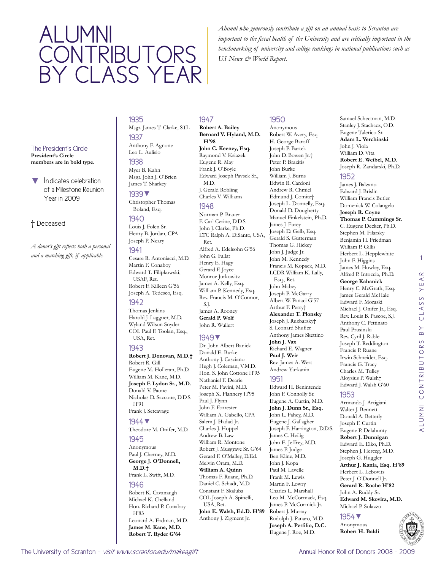# Alumni CONTRIBUTORS by class year

*Alumni who generously contribute a gift on an annual basis to Scranton are important to the fiscal health of the University and are critically important in the benchmarking of university and college rankings in national publications such as US News & World Report.* 

## The President's Circle

**President's Circle members are in bold type.**

Indicates celebration of a Milestone Reunion Year in 2009

## † Deceased

*A donor's gift reflects both a personal and a matching gift, if applicable.* 

#### 1935 Msgr. James T. Clarke, STL

## 1937 Anthony F. Agnone Leo L. Aulisio

1938 Myer B. Kahn Msgr. John J. O'Brien

## James T. Sharkey 1939▼

Christopher Thomas Boland, Esq.

## 1940

Louis J. Folen Sr. Henry B. Jordan, CPA Joseph P. Neary

#### 1941

Cesare R. Antoniacci, M.D. Martin F. Conaboy Edward T. Filipkowski, USAF, Ret. Robert F. Killeen G'56

#### Joseph A. Tedesco, Esq. 1942

Thomas Jenkins Harold J. Laggner, M.D. Wyland Wilson Snyder COL Paul F. Toolan, Esq., USA, Ret.

## 1943

#### **Robert J. Donovan, M.D.†** Robert R. Gill Eugene M. Holleran, Ph.D. William M. Kane, M.D. **Joseph F. Lydon Sr., M.D.**  Donald V. Paone Nicholas D. Saccone, D.D.S. H'91

Frank J. Setcavage

### 1944▼

Theodore M. Onifer, M.D.

### 1945

Anonymous Paul J. Cherney, M.D. **George J. O'Donnell, M.D.†**

## Frank L. Swift, M.D.

1946 Robert K. Cavanaugh Michael K. Chelland Hon. Richard P. Conaboy H'83 Leonard A. Erdman, M.D. **James M. Kane, M.D. Robert T. Ryder G'64**

## 1947

#### **Robert A. Bailey Bernard V. Hyland, M.D. H'98 John C. Keeney, Esq.**  Raymond V. Ksiazek Eugene R. May Frank J. O'Boyle Edward Joseph Pavsek Sr., M.D.

J. Gerald Robling Charles V. Williams 1948 Norman P. Brauer

F. Carl Cerine, D.D.S. John J. Clarke, Ph.D. LTC Ralph A. DiSanto, USA, Ret. Alfred A. Edelsohn G'56 John G. Fallat Henry E. Hagy Gerard F. Joyce Monroe Jurkowitz James A. Kelly, Esq. William P. Kennedy, Esq. Rev. Francis M. O'Connor, S.J. James A. Rooney **Gerald P. Wolf**  John R. Wullert

## 1949▼

Dr. John Albert Banick Donald E. Burke Anthony J. Casciano Hugh J. Coleman, V.M.D. Hon. S. John Cottone H'95 Nathaniel F. Dearie Peter M. Favini, M.D. Joseph X. Flannery H'95 Paul J. Flynn John F. Forrester William A. Gabello, CPA Salem J. Hadad Jr. Charles J. Hoppel Andrew B. Law William R. Montone Robert J. Musgrave Sr. G'64 Gerard F. O'Malley, D.Ed. Melvin Oram, M.D. **William A. Quinn**  Thomas F. Ruane, Ph.D. Daniel C. Schadt, M.D. Constant F. Skaluba COL Joseph A. Spinelli, USA, Ret. **John E. Walsh, Ed.D. H'89** Anthony J. Zigment Jr.

## 1950

Anonymous Robert W. Avery, Esq. H. George Baroff Joseph P. Bartek John D. Bowen Jr.† Peter P. Brazitis John Burke William J. Burns Edwin R. Cardoni Andrew R. Chmiel Edmund J. Comitz† Joseph L. Donnelly, Esq. Donald D. Dougherty Manuel Finkelstein, Ph.D. James J. Furey Joseph D. Gelb, Esq. Gerald S. Gutterman Thomas G. Hickey John J. Judge Jr. John M. Kennedy Francis M. Kopack, M.D. LCDR William K. Lally, Esq., Ret. John Mabey Joseph P. McGarry Albert W. Panaci G'57 Arthur F. Perry† **Alexander T. Plonsky**  Joseph J. Ruzbarsky† S. Leonard Shufler Anthony James Skettino **John J. Vax**  Richard E. Wagner **Paul J. Weir**  Rev. James A. Wert Andrew Yurkanin 1951

Edward H. Benintende John F. Connolly Sr. Eugene A. Curtin, M.D. **John J. Dunn Sr., Esq.**  John L. Fahey, M.D. Eugene J. Gallagher Joseph F. Harrington, D.D.S. James C. Heilig John E. Jeffrey, M.D. James P. Judge Ben Kline, M.D. John J. Kopa Paul M. Lavelle Frank M. Lewis Martin F. Lowry Charles L. Marshall Leo M. McCormack, Esq. James P. McCormick Jr. Robert J. Murray Rudolph J. Panaro, M.D. **Joseph A. Perfilio, D.C.** Eugene J. Roe, M.D.

#### Eugene Talerico Sr. **Adam L. Verchinski**  John J. Viola William D. Vita **Robert E. Weibel, M.D.**  Joseph R. Zandarski, Ph.D. 1952 James J. Balzano Edward J. Brislin William Francis Butler Domenick W. Colangelo **Joseph R. Coyne Thomas P. Cummings Sr.**  C. Eugene Decker, Ph.D. Stephen M. Filarsky Benjamin H. Friedman William P. Gillis Herbert L. Hepplewhite John F. Higgins James M. Howley, Esq. Alfred P. Intoccia, Ph.D. **George Kahanick**  Henry C. McGrath, Esq. James Gerald McHale Edward F. Moraski Michael J. Onifer Jr., Esq. Rev. Louis B. Pascoe, S.J. Anthony C. Pettinato Paul Prusinski Rev. Cyril J. Rable Joseph T. Reddington

Samuel Schectman, M.D. Stanley J. Stachacz, O.D.

1

CLASS YEAR

alumni contributors by class year

ALUMNI CONTRIBUTORS

 $\overline{B}$ 

Francis P. Ruane Irwin Schneider, Esq. Francis G. Tracy Charles M. Tulley Aloysius P. Walsh†

#### Edward J. Walsh G'60 1953

Armando J. Artigiani Walter J. Bennett Donald A. Betterly Joseph F. Curtin Eugene P. Delahunty **Robert J. Dunnigan**  Edward E. Elko, Ph.D. Stephen J. Herceg, M.D. Joseph G. Huggler **Arthur J. Kania, Esq. H'89** Herbert L. Lebovits Peter J. O'Donnell Jr. **Gerard R. Roche H'82** John A. Ruddy Sr. **Edward M. Skovira, M.D.**  Michael P. Solazzo

## 1954▼

Anonymous **Robert H. Baldi**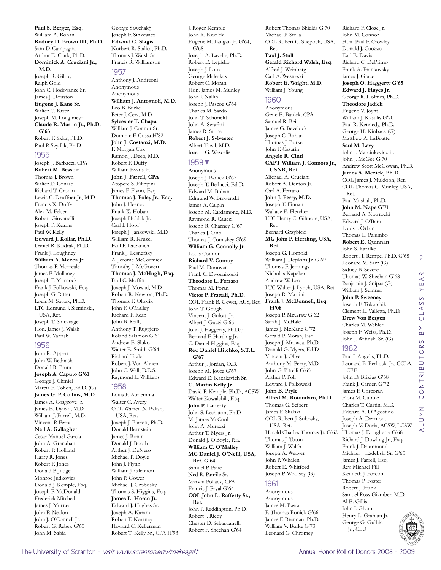**Paul S. Berger, Esq.**  William A. Bohan **Rodney D. Brown III, Ph.D.**  Sam D. Campagna Arthur E. Clark, Ph.D. **Dominick A. Cruciani Jr., M.D.**  Joseph R. Gilroy Ralph Gold John C. Hodovance Sr. James J. Houston **Eugene J. Kane Sr.**  Walter C. Kizer Joseph M. Loughney† **Claude R. Martin Jr., Ph.D. G'63** Robert F. Sklar, Ph.D. Paul P. Szydlik, Ph.D.

#### 1955

Joseph J. Barbacci, CPA **Robert M. Bessoir**  Thomas J. Brown Walter D. Conrad Richard T. Cronin Lewis C. Druffner Jr., M.D. Francis X. Duffy Alex M. Felser Robert Giovanelli Joseph P. Kearns Paul W. Kelly **Edward J. Kollar, Ph.D.**  Daniel R. Kudrak, Ph.D. Frank J. Loughney **William A. Mecca Jr.**  Thomas P. Morreale James F. Mullaney Joseph P. Murnock Frank J. Polkowski, Esq. Joseph G. Ritter Louis M. Savary, Ph.D. LTC Edmund J. Sieminski, USA, Ret. Joseph T. Sincavage Hon. James J. Walsh Paul W. Yarrish

#### 1956

John R. Appert John W. Bednash Donald R. Blum **Joseph A. Caputo G'61** George J. Chmiel Marcia F. Cohen, Ed.D. (G) **James G. P. Collins, M.D.**  James A. Cosgrove Jr. James E. Dynan, M.D. William J. Farrell, M.D. Vincent P. Ferra **Neil A. Gallagher**  Cesar Manuel Garcia John A. Granahan Robert P. Holland Harry R. Jones Robert F. Jones Donald P. Judge Monroe Judkovics Donald J. Kemple, Esq. Joseph P. McDonald Frederick Mitchell James J. Murray John P. Nealon John J. O'Connell Jr. Robert G. Rebek G'65 John M. Sabia

George Sawchak† Joseph F. Sinkewicz **Edward C. Slagis**  Norbert R. Stalica, Ph.D. Thomas J. Walsh Sr. Francis R. Williamson

#### 1957

Anthony J. Andreoni Anonymous Anonymous **William J. Antognoli, M.D.**  Leo B. Burke Peter J. Cera, M.D. **Sylvester T. Chapa**  William J. Connor Sr. Dominic F. Cossa H'82 **John J. Costanzi, M.D.**  F. Morgan Cox Ramon J. Deeb, M.D. Robert F. Duffy William Evans Jr. **John J. Farrell, CPA**  Atopere S. Filippini James F. Flynn, Esq. **Thomas J. Foley Jr., Esq.**  John J. Heaney Frank X. Hoban Joseph Hoblak Jr. Carl I. Hopf Joseph J. Jankowski, M.D. William R. Kruzel Paul P. Latzanich Frank J. Lesnefsky A. Jerome McCormick Timothy J. McGovern **Thomas J. McHugh, Esq.**  Paul C. Moffitt Joseph J. Mowad, M.D. Robert R. Newton, Ph.D. Thomas F. Oltorik John F. O'Malley Richard P. Reap John B. Reilly Anthony T. Ruggiero Roland Salamon G'61 Andrew E. Sluko Walter E. Smith G'64 Richard Tagler Robert J. Von Ahnen John C. Wall, D.D.S. Raymond L. Williams

#### 1958

Louis F. Auriemma Walter C. Avery COL Warren N. Balish, USA, Ret. Joseph J. Barrett, Ph.D. Donald Bernstein James J. Bonin Donald J. Booth Arthur J. DeNero Michael P. Doyle John J. Flynn William J. Glennon John P. Gower Michael J. Grobosky Thomas S. Higgins, Esq. **James L. Horan Jr.**  Edward J. Hughes Sr. Joseph A. Karam Robert F. Kearney Howard C. Kellerman Robert T. Kelly Sr., CPA H'93 J. Roger Kemple John R. Kwolek Eugene M. Langan Jr. G'64, G'68 Joseph A. Lavelle, Ph.D. Robert D. Lepisko Joseph J. Loux George Maleakas Robert C. Moran Hon. James M. Munley John J. Nallin Joseph J. Pascoe G'64 Charles M. Sardo John T. Schofield John A. Serafini James R. Stone **Robert J. Sylvester**  Albert Tawil, M.D. Joseph G. Wascalis

#### 1959▼

Anonymous Joseph J. Banick G'67 Joseph T. Bellucci, Ed.D. Edward M. Bohan Edmund W. Brogenski James A. Calpin Joseph M. Cardamone, M.D. Raymond R. Caucci Joseph R. Charney G'67 Charles J. Cino Thomas J. Comiskey G'69 **William G. Connolly Jr.**  Louis Connor **Richard V. Conroy**  Paul M. Donovan Frank C. Dwornikoski **Theodore L. Ferraro**  Thomas M. Foran **Victor P. Frattali, Ph.D.**  COL Frank B. Gewet, AUS, Ret. John T. Gough Vincent J. Gulotti Jr. Albert J. Guzzi G'66 John J. Haggerty, Ph.D.† Bernard F. Harding Jr. C. Daniel Higgins, Esq. **Rev. Daniel Hitchko, S.T.L. G'67** Arthur J. Jordan, O.D. Joseph M. Joyce G'67 Edward D. Kazakavich Sr. **C. Martin Kelly Jr.**  David P. Kemple, Ph.D., ACSW Walter Kowalchik, Esq. **John P. Lafferty**  John S. Lechaton, Ph.D. M. James McCool John A. Murazzi Arthur T. Myers Jr. Donald J. O'Boyle, P.E. **William C. O'Malley MG Daniel J. O'Neill, USA, Ret. G'64** Samuel P. Pane Ned R. Panfile Sr. Marvin Pollack, CPA Francis J. Pryal G'64 **COL John L. Rafferty Sr., Ret.**  John P. Reddington, Ph.D. Robert J. Riedy Chester D. Sebastianelli Robert F. Sheehan G'64

Robert Thomas Shields G'70 Michael P. Stella COL Robert C. Stiepock, USA, Ret. **Paul J. Stull Gerald Richard Walsh, Esq.**  Alfred J. Weinberg Carl A. Wesneski **Robert E. Wright, M.D.**  William J. Young 1960 Anonymous Gene E. Banick, CPA Samuel R. Bei James G. Bevelock Joseph C. Bohan Thomas J. Burke John F. Casarin **Angelo R. Cinti CAPT William J. Connors Jr., USNR, Ret.**  Michael A. Cruciani Robert A. Denton Jr. Carl A. Ferraro **John J. Ferry, M.D.**  Joseph T. Finnan Wallace E. Fletcher LTC Henry C. Gilmore, USA, Ret. Bernard Grzybicki **MG John P. Herrling, USA, Ret.**  Joseph G. Homoki William J. Hopkins Jr. G'69 Thomas F. Jennings Nicholas Kapelan Andrew W. Leo LTC Walter J. Lynch, USA, Ret. Joseph R. Martini **Frank J. McDonnell, Esq. H'08** Joseph P. McGraw G'62 Sarah J. McHale James J. McKane G'72 Gerald P. Moran, Esq. Joseph J. Mrowca, Ph.D. Donald G. Myers, Ed.D. Vincent J. Olive Anthony M. Perry, M.D. John G. Pittelli G'65 Arthur P. Poli Edward J. Polkowski **John B. Pryle Alfred M. Rotondaro, Ph.D.**  Thomas G. Seibert James F. Skalski COL Robert J. Suhosky, USA, Ret. Harold Charles Thomas Jr. G'62 Thomas J. Toton William J. Walsh Joseph A. Weaver John P. Whalen Robert E. Whitford Joseph P. Woolsey (G) 1961 Anonymous Anonymous James M. Basta

F. Thomas Bonick G'66 James F. Brennan, Ph.D. William V. Burke G'73 Leonard G. Chromey

Richard F. Close Jr. John M. Connor Hon. Paul F. Crowley Donald J. Cuozzo Earl E. Davis Richard C. DePrimo Frank A. Frankovsky James J. Grace **Joseph O. Haggerty G'65 Edward J. Hayes Jr.**  George R. Holmes, Ph.D. **Theodore Jadick**  Eugene V. Joynt William J. Kasulis G'70 Paul R. Kennedy, Ph.D. George H. Kinback (G) Matthew A. LaBrutte **Saul M. Levy**  John J. Marcinkevicz Jr. John J. McGee G'70 Andrew Scott McGowan, Ph.D. **James A. Mezick, Ph.D.**  COL James J. Muldoon, Ret. COL Thomas C. Munley, USA, Ret. Paul Mushak, Ph.D. **John M. Nape G'71** Bernard A. Nawrocki Edward J. O'Bara Louis J. Orban Thomas L. Palumbo **Robert E. Quinnan**  John S. Rafalko Robert H. Rempe, Ph.D. G'68 Leonard M. Sarr (G) Sidney B. Severe Thomas W. Sheehan G'68 Benjamin J. Snipas (G) William J. Summa **John P. Sweeney**  Joseph F. Tokarchik Clement L. Valletta, Ph.D. **Drew Von Bergen**  Charles M. Wehler Joseph F. Weiss, Ph.D. John J. Witinski Sr. (G) 1962 Paul J. Angelis, Ph.D. Leonard B. Berkoski Jr., CCLA, CFE

2

 $\alpha$  $\prec$ YE,

CLASS

 $\overline{B}$ 

alumni contributors by class year

LUMNI CONTRIBUTORS

⋖

John D. Brixius G'68 Frank J. Carden G'72 James F. Corcoran Flora M. Cupple Charles T. Curtin, M.D. Edward A. D'Agostino Joseph A. Dermont Joseph V. Doria, ACSW, LCSW Thomas J. Dougherty G'68 Richard J. Dowling Jr., Esq. Frank J. Drummond Michael J. Ezdebski Sr. G'65 James J. Farrell, Esq. Rev. Michael Fill Kenneth J. Forconi Thomas P. Foster Robert J. Frank Samuel Ross Giamber, M.D. Al E. Gillis John J. Glynn Henry L. Graham Jr. George G. Gulbin Jr., CLU

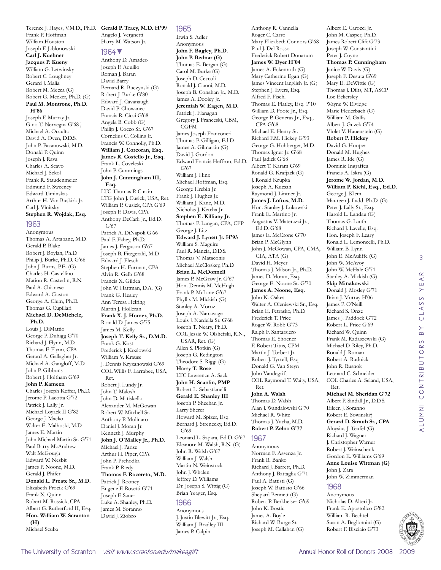Frank P. Hoffman William Houston Joseph F. Jablonowski **Carl J. Kuehner Jacques P. Kueny**  William G. Letwinsky Robert C. Loughney Gerard J. Malia Robert M. Mecca (G) Robert G. Meeker, Ph.D. (G) **Paul M. Montrone, Ph.D. H'86** Joseph F. Murray Jr.

Gino T. Nervegna G'68† Michael A. Occulto David A. Oven, D.D.S. John P. Pacanowski, M.D. Donald P. Quinn Joseph J. Rava Charles A. Scavo Michael J. Sekol Frank R. Staudenmeier Edmund F. Sweeney Edward Timinskas Arthur H. Van Buskirk Jr. Carl J. Vinitsky **Stephen R. Wojdak, Esq.** 

#### 1963

Anonymous Thomas A. Artabane, M.D. Gerald P. Blake Robert J. Boylan, Ph.D. Philip J. Burke, Ph.D. G'66 John J. Burns, P.E. (G) Charles H. Castellino Marion R. Casterlin, R.N. Paul A. Chianese Edward A. Ciaston George A. Clum, Ph.D. Thomas G. Cupillari **Michael D. DeMichele, Ph.D.**  Louis J. DiMattio George P. Duhigg G'70 Richard J. Flynn, M.D. Thomas F. Flynn, CPA Gerard A. Gallagher Jr. Michael A. Gangloff, M.D. John P. Gibbons Robert J. Holtham G'69 **John P. Kameen**  Charles Joseph Keffer, Ph.D. Jerome P. Lacotta G'72 Patrick J. Lally Jr. Michael Loyack II G'82 George J. Macko Walter E. Malhoski, M.D. James E. Martin Paul Barry McAndrew

John Michael Martin Sr. G'71 Walt McGough Edward W. Nesbit James P. Noone, M.D. Gerald J. Phifer **Donald L. Preate Sr., M.D.**  Elizabeth Procik G'69 Frank X. Quinn Robert M. Rossick, CPA Albert G. Rutherford II, Esq. **Hon. William W. Scranton** 

Michael Scuba

**(H)**

Terence J. Hayes, V.M.D., Ph.D. **Gerald P. Tracy, M.D. H'99**

Angelo J. Vergnetti Harry M. Watson Jr.

#### 1964▼

Anthony D. Amadeo Joseph F. Aquilio Roman J. Baran David Barry Bernard R. Buczynski (G) Robert J. Burke G'80 Edward J. Cavanaugh David P. Chowanec Francis R. Cicci G'68 Angela B. Cobb (G) Philip J. Cocco Sr. G'67 Cornelius C. Collins Jr. Francis W. Connolly, Ph.D. **William J. Corcoran, Esq. James R. Costello Jr., Esq.**  Frank L. Coveleski John P. Cummings **John J. Cunningham III, Esq.**  LTC Thomas P. Curtin LTG John J. Cusick, USA, Ret. William P. Cusick, CPA G'69 Joseph F. Davis, CPA Anthony DeCarli Jr., Ed.D. G'67 Patrick A. DiNapoli G'66 Paul F. Fahey, Ph.D. James J. Ferguson G'67 Joseph B. Fitzgerald, M.D. Edward J. Flesch Stephen H. Furman, CPA Alvin R. Gelb G'68 Francis X. Gildea John W. Hattman, D.A. (G) Frank G. Healey Ann Teresa Helring Martin J. Holleran **Frank X. J. Homer, Ph.D.**  Ronald D. James G'75 James M. Kelly **Joseph T. Kelly Sr., D.M.D.**  Frank G. Kost Frederick J. Kozlowski William V. Krause J. Dennis Kryzanowski G'69 COL Willis F. Larrabee, USA, Ret. Robert J. Lundy Jr. John T. Malosh John D. Matiskella Alexander M. McGowan Robert W. Mitchell Sr. Anthony P. Molinaro Daniel J. Moran Jr. Kenneth J. Murphy **John J. O'Malley Jr., Ph.D.**  Michael J. Parise Arthur H. Piper, CPA John P. Prehodka Frank P. Riedy **Thomas F. Rocereto, M.D.**  Patrick J. Rooney Eugene F. Rosetti G'71 Joseph F. Sauer Luke A. Shanley, Ph.D. James M. Soranno David J. Ziobro

#### 1965

Irwin S. Adler Anonymous **John F. Bagley, Ph.D. John P. Bednar (G)** Thomas E. Bergan (G) Carol M. Burke (G) Joseph D. Ceccoli Ronald J. Cianni, M.D. Joseph B. Conahan Jr., M.D. James A. Dooley Jr. **Jeremiah W. Eagen, M.D.**  Patrick J. Flanagan Gregory J. Franceski, CBM, CGFM James Joseph Franconeri Thomas P. Gilligan, Ed.D. James A. Gilmartin (G) David J. Gordon Edward Francis Heffron, Ed.D. G'67 William J. Hinz Michael Hoffman, Esq. George Hrebin Jr. Frank J. Hughes Jr. William J. Kane, M.D. Nicholas J. Ketcha Jr. **Stephen E. Killiany Jr.**  Thomas P. Langan, CPA, CFP George J. Litz **Edward J. Lynett Jr. H'93** William S. Maguire Paul R. Mancia, D.D.S. Thomas V. Mataconis Michael McCloskey, Ph.D. **Brian L. McDonnell**  James P. McGraw Jr. G'67 Hon. Dennis M. McHugh Frank P. McLane G'67 Phyllis M. Mickish (G) Stanley A. Moroz Joseph A. Narcavage Louis J. Nardella Sr. G'68 Joseph T. Neary, Ph.D. COL Jessie W. Olshefski, R.N., USAR, Ret. (G) Allen S. Plotkin (G) Joseph G. Redington Theodore S. Riggi (G) **Harry T. Rose**  LTC Lawrence A. Sack **John H. Scanlin, PMP**  Robert L. Sebastianelli **Gerald E. Shanley III**  Joseph P. Sheehan Jr. Larry Sherer Howard M. Spizer, Esq. Bernard J. Strenecky, Ed.D. G'69 Leonard L. Szpara, Ed.D. G'67 Eleanore M. Walsh, R.N. (G) John R. Walsh G'67 William J. Walsh Martin N. Weinstock John J. Whalen Jeffrey D. Williams Dr. Joseph S. Wittig (G) Brian Yeager, Esq.

## 1966

Anonymous J. Justin Blewitt Jr., Esq. William J. Bradley III James P. Calpin

Anthony R. Cannella Roger C. Carro Mary Elizabeth Connors G'68 Paul J. Del Rosso Frederick Robert Donarum **James W. Dyer H'04** James A. Eckenroth (G) Mary Catherine Egan (G) James Vincent English Jr. (G) Stephen J. Evers, Esq. Alfred F. Fischl Thomas E. Flatley, Esq. P'10 William D. Foote Jr., Esq. George P. Generas Jr., Esq., CPA G'68 Michael E. Henry Sr. Richard F.M. Hickey G'93 George G. Hohberger, M.D. Thomas Igner Jr. G'68 Paul Jadick G'68 Albert T. Karam G'69 Ronald G. Krafjack (G) J. Ronald Krupka Joseph A. Kucsan Raymond J. Lintner Jr. **James J. Loftus, M.D.**  Hon. Stanley J. Lukowski Frank E. Martino Jr. Augustus V. Materazzi Jr., Ed.D. G'68 James E. McCrone G'70 Brian P. McGlynn John J. McGowan, CPA, CMA, CIA, ATA (G) David H. Meyer Thomas J. Milson Jr., Ph.D. James D. Moran, Esq. George E. Noone Sr. G'70 **James A. Noone, Esq.**  John K. Oakes Walter A. Oleniewski Sr., Esq. Brian E. Petrasko, Ph.D. Frederick T. Price Roger W. Robb G'73 Ralph F. Santarsiero Thomas E. Shoener F. Robert Titus, CPM Martin J. Torbert Jr. Robert J. Tyrrell, Esq. Donald G. Van Steyn John Vandegrift COL Raymond T. Waity, USA, Ret. **John A. Walsh** 

Albert E. Carocci Jr. John M. Casper, Ph.D. James Robert Clift G'73 Joseph W. Constantini Peter J. Coyne

**Thomas P. Cunningham**  Janice W. Davis (G) Joseph F. Desuta G'69 Mary E. DeWittie (G) Thomas J. Dilts, MT, ASCP

Loc Eckersley Wayne W. Elvidge Marie Flederbach (G) William M. Gallis Albert J. Guzek G'74 Violet V. Hauenstein (G) **Robert P. Hickey**  David G. Hooper Donald M. Hughes James R. Ide (G) Dominic Ingraffea Francis A. Iskra (G) **Jerome W. Jordan, M.D. William P. Kiehl, Esq., Ed.D.** 

George J. Klem

William B. Lynn John E. McAuliffe (G) John W. McAvoy John W. McHale G'71 Stanley A. Mickish (G) **Skip Minakowski** Donald J. Mosley G'71 Brian J. Murray H'06 James P. O'Neill Richard S. Onze James J. Paddock G'72 Robert L. Price G'69 Richard W. Quinn Frank M. Radaszewski (G) Michael D. Riley, Ph.D. Ronald J. Roman Robert A. Rudnick John R. Rusnok Leonard C. Schneider COL Charles A. Seland, USA,

Ret.

John J. Zara John W. Zimmerman

1968 Anonymous Nicholas D. Alteri Jr. Frank E. Apostolico G'82 William R. Bechtel Susan A. Begliomini (G) Robert F. Bisciaio G'73

**Michael M. Sheridan G'72** Albert P. Sindall Jr., D.D.S. Eileen J. Soranno Robert E. Sowinski† **Gerard D. Straub Sr., CPA**  Aloysius J. Teufel (G) Richard J. Wagner J. Christopher Warner Robert J. Weinschenk Gordon E. Williams G'69 **Anne Louise Wittman (G)**

Maureen J. Ladd, Ph.D. (G) Peter J. Lally Sr., Esq. Harold L. Landau (G) Thomas G. Lauth Richard J. Lavelle, Esq. Hon. Joseph F. Leary Ronald L. Lemoncelli, Ph.D.

Thomas D. Walsh Alan J. Wandalowski G'70 Michael R. White Thomas J. Yucha, M.D. **Robert P. Zelno G'77**

## 1967

Anonymous Norman F. Assenza Jr. Frank R. Banko Richard J. Barrett, Ph.D. Anthony J. Battaglia G'71 Paul A. Battisti (G) Joseph W. Battisto G'66 Shepard Bennett (G) Robert P. Berkheiser G'69 John K. Bostic James A. Boyle Richard W. Burge Sr. Joseph M. Callahan (G)

3  $\alpha$ alumni contributors by class year  $\prec$ YE, CLASS  $\overline{B}$ ALUMNI CONTRIBUTORS

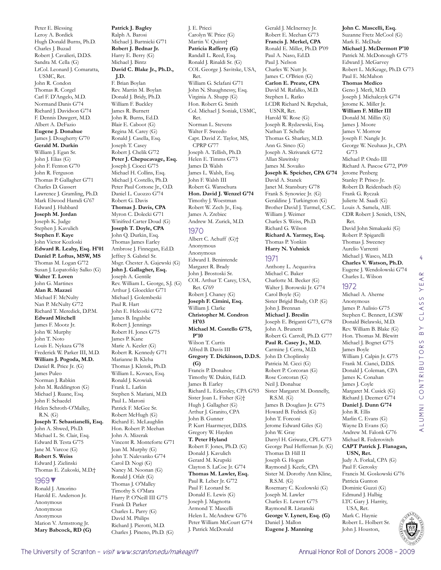Peter E. Blessing Leroy A. Bordick Hugh Donald Burns, Ph.D. Charles J. Buzad Robert J. Cavalieri, D.D.S. Sandra M. Cella (G) LtCol. Leonard J. Comaratta, USMC, Ret. John R. Condon Thomas R. Corgel Carl F. D'Angelo, M.D. Normand Danis G'74 Richard J. Davidson G'74 F. Dennis Dawgert, M.D. Albert A. DeFazio **Eugene J. Donahue**  James J. Dougherty G'70 **Gerald M. Durkin**  William J. Egan Sr. John J. Elias (G) John F. Fenton G'70 John R. Ferguson Thomas P. Gallagher G'71 Charles D. Gassert Lawrence J. Gramling, Ph.D. Mark Elwood Hamdi G'67 Edward J. Hubbard **Joseph M. Jordan**  Joseph K. Judge Stephen J. Kavulich **Stephen F. Kaye**  John Victor Kozloski **Edward R. Leahy, Esq. H'01 Daniel P. Loftus, MSW, MS**  Thomas M. Logan G'72 Susan J. Lopatofsky Salko (G) **Walter T. Loven**  John G. Martines **Alan R. Mazzei**  Michael F. McNulty Nan P. McNulty G'72 Richard T. Meredick, D.P.M. **Edward Mitchell**  James F. Mootz Jr. John W. Murphy John T. Noto Louis E. Nykaza G'78 Frederick W. Parker III, M.D. **William J. Pogoda, M.D.**  Daniel R. Price Jr. (G) James Puleo Norman I. Rabkin John M. Reddington (G) Michael J. Ruane, Esq. John F. Schaedel Helen Schroth-O'Malley, R.N. (G) **Joseph T. Sebastianelli, Esq.**  John A. Shwed, Ph.D. Michael L. St. Clair, Esq. Edward B. Testa G'75 Jane M. Varcoe (G) **Robert S. Weiss**  Edward J. Zielinski Thomas E. Zukoski, M.D.† 1969▼ Ronald J. Amorino Harold E. Anderson Jr.

Anonymous Anonymous Anonymous Marion V. Armstrong Jr. **Mary Babcock, RD (G)**

**Patrick J. Bagley**  Ralph A. Barosi Michael J. Bartnicki G'71 **Robert J. Bednar Jr.**  Harry E. Berry (G) Michael J. Bintz **David C. Blake Jr., Ph.D., J.D.**  F. Brian Boylan Rev. Martin M. Boylan Donald J. Bridy, Ph.D. William F. Buckley James R. Burnett John R. Burns, Ed.D. Blair E. Caboot (G) Regina M. Carey (G) Ronald J. Casella, Esq. Joseph T. Casey Robert J. Chelik G'72 **Peter J. Chepucavage, Esq.**  Joseph J. Ciocci G'75 Michael H. Collins, Esq. Michael J. Costello, Ph.D. Peter Paul Cottone Jr., O.D. Daniel L. Cuozzo G'74 Robert G. Davis **Thomas J. Davis, CPA**  Myron C. Dolecki G'71 Winifred Carter Doud (G) **Joseph T. Doyle, CPA**  John Q. Durkin, Esq. Thomas James Earley Ambrose J. Finnegan, Ed.D. Jeffrey S. Gabriel Sr. Msgr. Chester A. Gajewski (G) **John J. Gallagher, Esq.**  Joseph A. Gentile Rev. William L. George, S.J. (G) Arthur J. Gloeckler G'71 Michael J. Golembeski Paul R. Hart John E. Helcoski G'72 James B. Ingalsbe Robert J. Jennings Robert H. Jones G'75 James P. Kane Marie A. Keeler (G) Robert R. Kennedy G'71 Marianne B. Kleha Thomas J. Klensk, Ph.D. William L. Kovacs, Esq. Ronald J. Krowiak Frank L. Larkin Stephen S. Mariani, M.D. Paul L. Maroni Patrick F. McGee Sr. Robert McHugh (G) Richard E. McLaughlin Hon. Robert P. Meehan John A. Mizerak Vincent R. Monteforte G'71 Jean M. Murphy (G) John T. Nalevanko G'74 Carol D. Nogi (G) Nancy M. Noonan (G) Ronald J. Ofalt (G) Thomas J. O'Malley Timothy S. O'Mara Harry P. O'Neill III G'75 Frank D. Parker Charles L. Parry (G)

J. E. Pricci Carolyn W. Price (G) Martin V. Quinn† **Patricia Rafferty (G)** Randall L. Reed, Esq. Ronald J. Rinaldi Sr. (G) COL George J. Savitske, USA, Ret. William G. Sclafani G'71 John N. Shaughnessy, Esq. Virginia A. Shupp (G) Hon. Robert G. Smith Col. Michael J. Soniak, USMC, Ret. Norman L. Stevens Walter F. Sweedo Capt. David Z. Taylor, MS, CPRP G'77 Joseph A. Tellish, Ph.D. Helen E. Timms G'73 James D. Walsh James L. Walsh, Esq. John F. Walsh III Robert G. Wanschura **Hon. David J. Wenzel G'74** Timothy J. Woestman Robert W. Zech Jr., Esq. James A. Zrebiec Andrew M. Zurick, M.D. 1970 Albert C. Achuff (G)† Anonymous Anonymous Edward I. Benintende Margaret R. Brady John J. Brostoski Sr. COL Arthur T. Carey, USA, Ret. G'69 Robert J. Chaney (G) **Joseph F. Cimini, Esq.**  William I. Clarke **Christopher M. Condron H'03 Michael M. Costello G'75, P'10** Wilson T. Curtis Alfred B. Davis III **Gregory T. Dickinson, D.D.S. (G)** Francis P. Donahoe Timothy W. Dukin, Ed.D. James B. Earley Richard L. Eckersley, CPA G'93 Sister Joan L. Fisher (G)† Hugh J. Gallagher (G) Arthur J. Granito, CPA John B. Gunner P. Kurt Haarmeyer, D.D.S. Gregory W. Hayden **T. Peter Hyland**  Robert F. Jones, Ph.D. (G) Donald J. Kavulich Gerard M. Krupski Clayton S. LaCoe Jr. G'74 **Thomas M. Lawler, Esq.**  Paul R. Leber Jr. G'72 Paul F. Leonard Sr. Donald E. Lewis (G) Joseph J. Magnotta Armond T. Mascelli Helen L. McAndrew G'76 Peter William McCourt G'74

J. Patrick McDonald

Gerald J. McInerney Jr. Robert E. Meehan G'73 **Francis J. Merkel, CPA**  Ronald E. Miller, Ph.D. P'09 Paul A. Naso, Ed.D. Paul J. Nelson Charles W. Nutt Jr. James C. O'Brien (G) **Carlon E. Preate, CPA**  David M. Rafalko, M.D. Stephen L. Ratko LCDR Richard N. Repchak, USNR, Ret. Harold W. Rose (G) Joseph R. Rydzewski, Esq. Nathan T. Schelle Thomas G. Sharkey, M.D. Ann G. Sinco (G) Joseph A. Skrivanek G'72 Allan Slawitsky James M. Sovaiko **Joseph K. Speicher, CPA G'74** David A. Stanek Janet M. Stansbury G'78 Frank S. Synowiec Jr. (G) Geraldine J. Turkington (G) Brother David J. Turmel, C.S.C. William J. Weimer Charles S. Weiss, Ph.D. Richard G. Wilson **Richard A. Yarmey, Esq.**  Thomas P. Yonkin **Harry N. Yuhnick** 

#### 1971

Anthony L. Acquaviva Michael C. Baker Charlotte M. Becker (G) Walter J. Borowski Jr. G'74 Carol Boyle (G) Sister Brigid Brady, O.P. (G) John J. Brennan **Michael J. Breslin**  Joseph E. Briganti G'73, G'78 John A. Brunetti Robert G. Carroll, Ph.D. G'77 **Paul R. Casey Jr., M.D.**  Carmine J. Cerra, M.D. John D. Choplinsky Patricia M. Cicci (G) Robert P. Corcoran (G) Rose Corcoran (G) Neil J. Donahue Sister Margaret M. Donnelly, R.S.M. (G) James B. Douglass Jr. G'75 Howard B. Fedrick (G) John T. Forconi Jerome Edward Giles (G) John W. Gray Darryl H. Griwatz, CPL G'73 George Paul Heffernan Jr. (G) Thomas D. Hill II Joseph G. Hogan Raymond J. Keefe, CPA Sister M. Dorothy Ann Kline, R.S.M. (G) Rosemary C. Kozlowski (G) Joseph M. Lawler Charles E. Lewert G'75 Raymond R. Listanski **George V. Lynett, Esq. (G)** Daniel J. Mallon **Eugene J. Manning** 

#### **John C. Mascelli, Esq.**  Suzanne Fretz McCool (G) Mark E. McDade **Michael J. McDermott P'10** Patrick M. McDonough G'75 Edward J. McGarvey Robert L. McKeage, Ph.D. G'73 Paul E. McMahon **Thomas Medico**  Geno J. Merli, M.D. Joseph J. Michalczyk G'74 Jerome K. Miller Jr. **William F. Miller III**  Donald M. Millin (G) James J. Moore James V. Morrow Joseph F. Nangle Jr. George W. Neuhaus Jr., CPA G'73 Michael P. Ondo III Richard A. Pascoe G'72, P'09 Jerome Penberg Stanley P. Prisco Jr. Robert D. Reidenbach (G) Frank G. Ryczak Juliette M. Saadi (G) Louis A. Samela, AIE CDR Robert J. Senich, USN, Ret. David John Simakaski (G) Robert P. Spigarelli Thomas J. Sweeney Aurelio Varrenti Michael J. Wasco, M.D. **Charles V. Watson, Ph.D.**  Eugene J. Wendolowski G'74 Charles L. Wilson

## 1972

Michael A. Aherne Anonymous James P. Aulisio G'75 Stephen C. Bennett, LCSW Donald Bielawski, M.D. Rev. William B. Blake (G) Hon. Thomas M. Blewitt Michael J. Bognet G'75 James Boyle William J. Calpin Jr. G'75 Frank M. Cianci, D.D.S. Donald J. Coleman, CPA James K. Conahan James J. Coyle Margaret M. Cusick (G) Richard J. Deemer G'74 **Daniel J. Dunn G'74** John R. Ellis Marlin C. Evans (G) Wayne D. Evans (G) Andrew M. Falonk G'76 Michael R. Federovitch **CAPT Patrick J. Flanagan, USN, Ret.** 

Judy A. Forkal, CPA (G) Paul F. Gerosky Francis M. Goskowski G'76 Patricia Gunton Dominic Guzzi (G) Edmund J. Halbig LTC Gary J. Harrity, USA, Ret. Mark C. Haynie Robert L. Holbert Sr. John J. Houston,



4

CLASS YEAR

alumni contributors by class year

ALUMNI CONTRIBUTORS

 $\overline{B}$ 

David M. Philips Richard J. Pierotti, M.D. Charles J. Pineno, Ph.D. (G)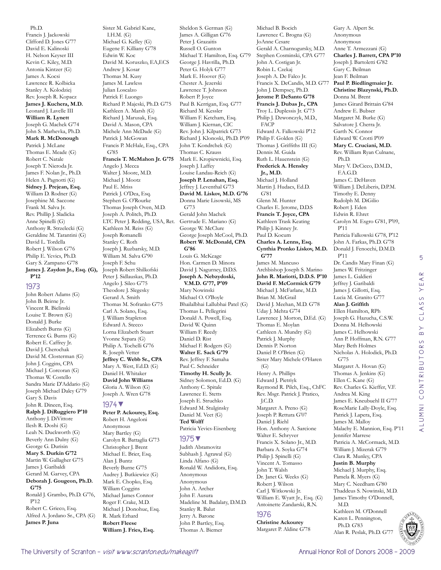Ph.D. Francis J. Jackowski Clifford D. Jones G'77 David E. Kalinoski H. Nelson Keyser III Kevin C. Kiley, M.D. Antonia Kintzer (G) James A. Kocsi Lawrence R. Kolbicka Stanley A. Kolodziej Rev. Joseph R. Kopacz **James J. Kuchera, M.D.**  Leonard J. Lavelle III **William R. Lynett**  Joseph G. Machek G'74 John S. Marhevka, Ph.D. **Mark R. McDonough**  Patrick J. McLane Thomas E. Meade (G) Robert C. Natale Joseph T. Nieroda Jr. James F. Nolan Jr., Ph.D. Helen A. Pagnotti (G) **Sidney J. Prejean, Esq.**  William D. Rodner (G) Josephine M. Saccone Frank M. Salva Jr. Rev. Phillip J. Sladicka Anne Spinelli (G) Anthony R. Strzelecki (G) Geraldine M. Tarantini (G) David L. Tordella Robert J. Wilson G'76 Philip E. Yevics, Ph.D. Gary S. Zampano G'78 **James J. Zaydon Jr., Esq. (G), P'12**

#### 1973

John Robert Adams (G) John B. Beirne Jr. Vincent R. Bielinski Louise T. Brown (G) Donald J. Burke Elizabeth Burns (G) Terrence G. Burns (G) Robert E. Caffrey Jr. David J. Cherochak David M. Closterman (G) John J. Coggins, CPA Michael J. Corcoran (G) Thomas W. Costello Sandra Marie D'Addario (G) Joseph Michael Daley G'79 Gary S. Davis John R. Dineen, Esq. **Ralph J. DiRuggiero P'10** Anthony J. DiVittore Ilesh R. Doshi (G) Leah N. Duckworth (G) Beverly Ann Dulny (G) George G. Durisin **Mary S. Durkin G'72** Martin W. Gallagher G'75 James J. Garibaldi Gerard M. Garvey, CPA **Deborah J. Gougeon, Ph.D. G'75** Ronald J. Grambo, Ph.D. G'76, P'12 Robert C. Grieco, Esq. Alfred A. Jordano Sr., CPA (G) **James P. Juna** 

Sister M. Gabriel Kane, I.H.M. (G) Michael G. Kelley (G) Eugene F. Killiany G'78 Edwin W. Koc David M. Koruszko, EA,ECS Andrew J. Kosar Thomas M. Kusy James M. Lawless Julian Loscalzo Patrick F. Luongo Richard P. Majeski, Ph.D. G'75 Kathleen A. Marsh (G) Richard J. Marusak, Esq. David A. Mason, CPA Michele Ann McDade (G) Patrick J. McGowan Francis P. McHale, Esq., CPA G'85 **Francis T. McMahon Jr. G'75**

Angelo J. Mecca Walter J. Moore, M.D. Michael J. Mootz Paul E. Mriss Patrick J. O'Dea, Esq. Stephen G. O'Rourke Thomas Joseph Oven, M.D. Joseph A. Politch, Ph.D. LTC Peter J. Redding, USA, Ret. Kathleen M. Reiss (G) Joseph Romanelli Stanley C. Roth Joseph J. Ruzbarsky, M.D. William M. Salva G'90 Joseph F. Schu Joseph Robert Shilkofski Peter J. Sidlauskas, Ph.D. Angelo J. Sileo G'75 Theodore J. Slegesky Gerard A. Smith Thomas M. Sofranko G'75 Carl A. Solano, Esq. J. William Stapleton Edward A. Stecco Lorna Elizabeth Stuart Yvonne Szpara (G) Philip A. Tochelli G'76 R. Joseph Vetter **Jeffrey C. Webb Sr., CPA**  Mary A. West, Ed.D. (G) Daniel H. Whitaker **David John Williams**  Gloria A. Wilson (G) Joseph A. Wren G'78

#### 1974▼

**Peter P. Ackourey, Esq.**  Robert H. Angeloni Anonymous Mary Bartley (G) Carolyn R. Battaglia G'73 Christopher J. Brent Michael E. Brier, Esq. Alan J. Buntz Beverly Burne G'75 Audrey J. Butkiewicz (G) Mark E. Chopko, Esq. William Coggins Michael James Connor Roger F. Crake, M.D. Michael J. Donohue, Esq. R. Mark Erhard **Robert Fleese William J. Fries, Esq.** 

Sheldon S. German (G) James A. Gilligan G'76 Peter J. Grazaitis Russell O. Gunton Michael T. Hamilton, Esq. G'79 George J. Havrilla, Ph.D. Peter G. Holyk G'77 Mark E. Hoover (G) Chester A. Jezerski Lawrence T. Johnson Robert P. Joyce Paul B. Kerrigan, Esq. G'77 Richard M. Kessler William F. Ketcham, Esq. William J. Kiernan, CIC Rev. John J. Kilpatrick G'73 Richard J. Klonoski, Ph.D. P'09 John T. Kondrchek (G) Thomas C. Krauss Mark E. Kropiewnicki, Esq. Joseph J. Laffey Louise Landau-Reich (G) **Joseph P. Lenahan, Esq.**  Jeffrey J. Leventhal G'73 **David M. Liskov, M.D. G'76** Donna Marie Lisowski, MS G'73 Gerald John Machek Gertrude E. Mariano (G) George W. McClure George Joseph McCool, Ph.D. **Robert W. McDonald, CPA G'86** Louis G. McKeage Hon. Carmen D. Minora David J. Nagurney, D.D.S. **Joseph A. Nebzydoski, V.M.D. G'77, P'09** Mary Nowinski Michael O. O'Boyle Bhailalbhai Lallubhai Patel (G) Thomas L. Pellegrini Donald A. Powell, Esq. David W. Quinn William F. Reedy Daniel D. Rist Michael F. Rodgers (G) **Walter E. Sack G'79** Rev. Jeffrey F. Samaha Paul C. Schneider **Timothy H. Scully Jr.**  Sidney Solomon, Ed.D. (G) Anthony C. Spitale Lawrence E. Stetts Joseph E. Struchko Edward M. Stulginsky Daniel M. Veet (G) **Ted Wolff**  Patricia Yevics-Eisenberg 1975▼ Judith Abramovitz

Subhash J. Agrawal (G) Linda Alfano (G) Ronald W. Andidora, Esq.

Madeline M. Badalaty, D.M.D.

Anonymous Anonymous John A. Archer John F. Ausura

Stanley R. Balut Jerry A. Barone John P. Bartley, Esq. Thomas A. Biemer

JoAnne Cesare Gerald A. Charnogursky, M.D. Stephen Cosminski, CPA G'77 John A. Costigan Jr. Robin L. Czekaj Joseph A. De Falco Jr. Francis X. DeCandis, M.D. G'77 John J. Dempsey, Ph.D. **Jerome P. DeSanto G'78 Francis J. Dubas Jr., CPA**  Troy L. Duplessis Jr. G'73 Philip J. Dzwonczyk, M.D., FACP Edward A. Falkowski P'12 Philip F. Golden (G) Thomas J. Griffiths III (G) Dennis M. Guida Ruth L. Hauenstein (G) **Frederick A. Hensley Jr., M.D.**  Michael J. Holland Martin J. Hudacs, Ed.D. G'81 Glenn M. Hunter Charles E. Jerome, D.D.S **Francis T. Joyce, CPA**  Kathleen Trask Keating Philip J. Kinney Jr. Paul D. Kocum **Charles A. Lenns, Esq. Cynthia Pronko Liskov, M.D. G'77** James M. Mancuso Archbishop Joseph S. Marino **John R. Mariotti, D.D.S. P'10 David F. McCormick G'79** Michael J. McFarlane, M.D. Brian M. McGrail David J. Meehan, M.D. G'78 Uday J. Mehta G'74 Lawrence J. Morton, D.Ed. (G) Thomas E. Moylan Cathleen A. Mundry (G) Patrick J. Murphy Dennis P. Norton Daniel P. O'Brien (G) Sister Mary Michele O'Haren (G) Henry A. Phillips Edward J. Pietriyk Raymond R. Pilch, Esq., ChFC Rev. Msgr. Patrick J. Pratico, J.C.D. Margaret A. Preno (G) Joseph P. Rettura G'07 Daniel J. Riehl Hon. Anthony A. Sarcione Walter E. Schryver Francis X. Solano Jr., M.D. Barbara A. Soyka G'74 Philip J. Spinelli (G) Vincent A. Tomasso John T. Walsh Dr. Janet G. Weeks (G) Robert J. Wilson Carl J. Witkowski Jr. William E. Wyatt Jr., Esq. (G) Antoinette Zandarski, R.N. 1976

Michael B. Bocich Lawrence C. Brogna (G)

**Christine Ackourey**  Margaret P. Aldine G'78 Gary A. Alpert Sr. Anonymous Anonymous Anne T. Armezzani (G) **Charles J. Barrett, CPA P'10** Joseph J. Bartoletti G'82 Gary C. Beilman Jean F. Beilman **Paul P. Biedlingmaier Jr. Christine Blazynski, Ph.D.**  Donna M. Brent James Girard Brittain G'84 Andrew E. Bubser Margaret M. Burke (G) Salvatore J. Cherra Jr. Garth N. Connor Edward W. Crotti P'09 **Mary C. Cruciani, M.D.**  Rev. William Ryan Culnane, Ph.D. Mary V. DeCicco, D.M.D., F.A.G.D. James C. DeHaven William J. DeLiberis, D.P.M. Timothy E. Denny Rudolph M. DiGilio Robert J. Eden Edwin R. Ehret Carolyn M. Esgro G'81, P'09, P'11 Patricia Falkowski G'78, P'12 John A. Farkas, Ph.D. G'78 Donald J. Fenocchi, D.M.D. P'11 Dr. Candis Mary Finan (G) James W. Fritzinger James L. Galdieri Jeffrey J. Garibaldi James J. Gillotti, Esq. Lucia M. Granito G'77 **Alan J. Griffith**  Ellen Hamilton, RPh Joseph G. Hazucha, C.S.W. Donna M. Helhowski James C. Helhowski Ann P. Hoffman, R.N. G'77 Mary Beth Holmes Nicholas A. Holodick, Ph.D. G'75 Margaret A. Hovan (G) Thomas A. Jenkins (G) Ellen C. Kane (G) Rev. Charles G. Kieffer, V.F. Andrea M. King James E. Kneubuehl II G'77 RoseMarie Lally-Doyle, Esq. Patrick J. Lapera, Esq. James M. Malloy Malachy E. Mannion, Esq. P'11 Jennifer Marrese Patricia A. McCormack, M.D. William J. Mizerak G'79 Clara R. Munley, CPA **Justin B. Murphy**  Michael J. Murphy, Esq. Pamela R. Myers (G) Mary C. Needham G'80 Thaddeus S. Nowinski, M.D. James Timothy O'Donnell, M.D.

Kathleen M. O'Donnell Karen L. Pennington, Ph.D. G'83 Alan R. Peslak, Ph.D. G'77

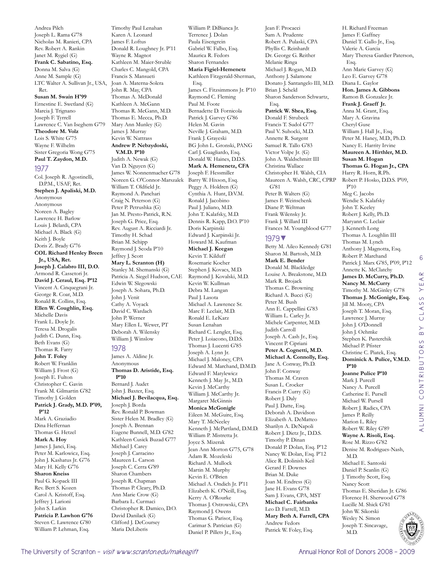Andrea Pilch Joseph L. Rama G'78 Nicholas M. Ranieri, CPA Rev. Robert A. Rankin Janet M. Rygiel (G) **Frank C. Sabatino, Esq.**  Donna M. Salva (G) Anne M. Sample (G) LTC Walter A. Sullivan Jr., USA, Ret.

#### **Susan M. Swain H'99**

Ernestine E. Swetland (G) Marcia J. Trignano Joseph F. Tyrrell Lawrence C. Van Iseghem G'79 **Theodore M. Volz**  Lois S. White G'75 Wayne F. Wilhelm Sister Gregoria Wong G'75 **Paul T. Zaydon, M.D.** 

#### 1977

Col. Joseph R. Agostinelli, D.P.M., USAF, Ret. **Stephen J. Apaliski, M.D.**  Anonymous Anonymous Noreen A. Bagley Lawrence H. Barlow Louis J. Belardi, CPA Michael A. Black (G) Keith J. Boyle Doris Z. Brady G'76 **COL Richard Henley Breen Jr., USA, Ret. Joseph J. Calabro III, D.O.**  Armond R. Cassetori Jr. **David J. Ceraul, Esq. P'12** Vincent A. Cinquegrani Jr. George R. Coar, M.D. Ronald R. Collins, Esq. **Ellen W. Coughlin, Esq.**  Michelle Davis Frank L. Doyle Jr. Teresa M. Drogalis Judith C. Dunn, Esq. Beth Evans (G) Thomas R. Farry **John T. Foley**  Robert W. Franklin William J. Frost (G) Joseph E. Fulton Christopher C. Gavin Frank M. Gilmartin G'82 Timothy J. Golden **Patrick J. Grady, M.D. P'09, P'12** Mark A. Graziadio Dina Heffernan Thomas G. Hetzel **Mark A. Hoy**  James J. Janci, Esq. Peter M. Karlowicz, Esq. John J. Kashatus Jr. G'76 Mary H. Kelly G'76 **Sharon Kneiss**  Paul G. Kopack III Rev. Bert S. Kozen Carol A. Kristoff, Esq. Jeffrey J. Larioni John S. Larkin **Patricia P. Lawhon G'76** Steven C. Lawrence G'80 William P. Lehman, Esq.

Timothy Paul Lenahan Karen A. Leonard James F. Loftus Donald R. Loughney Jr. P'11 Wayne R. Magnot Kathleen M. Maier-Struble Charles C. Mangold, CPA Francis S. Mansueti Joan A. Materna-Solera John R. May, CPA Thomas A. McDonald Kathleen A. McGann Thomas R. McGann, M.D. Thomas E. Mecca, Ph.D. Mary Ann Munley (G) James J. Murray Kevin W. Nattrass **Andrew P. Nebzydoski, V.M.D. P'10** Judith A. Newak (G) Van D. Nguyen (G) James W. Nonnenmacher G'78 Noreen G. O'Connor-Marszalek William T. Oldfield Jr. Raymond A. Panchari Craig N. Peterson (G) Peter P. Petrushka (G) Jan M. Presto-Patrick, R.N. Joseph G. Price, Esq. Rev. August A. Ricciardi Jr. Timothy H. Schad Brian M. Schipp Raymond J. Scoda P'10 Jeffrey J. Scott **Mary L. Scranton (H)** Stanley M. Shemanski (G) Patricia A. Siegel Hudson, CAE Edwin W. Slegowski Joseph A. Sohara, Ph.D. John J. Venit Cathy A. Voyack David C. Wardach John P. Werner Mary Ellen L. Wewer, PT Deborah A. Wilensky William J. Winslow 1978 James A. Aldine Jr. Anonymous **Thomas D. Aristide, Esq. P'10** Bernard I. Audet John J. Baxter, Esq.

**Michael J. Bevilacqua, Esq.**  Joseph J. Borda Rev. Ronald P. Bowman Sister Helen M. Bradley (G) Joseph A. Brennan Eugene Bunnell, M.D. G'82 Kathleen Cusick Buzad G'77 Michael J. Carey Joseph J. Carracino Maureen L. Carson Joseph C. Cerra G'89 Sharon Chambers Joseph R. Chapman Thomas P. Cleary, Ph.D. Ann Marie Crow (G) Barbara L. Curmaci Christopher R. Damico, D.O. David Danilack (G) Clifford J. DeCoursey Maria DeLiberis

William P. DiBianca Jr. Terrence J. Dolan Paula Eisengrein Gabriel W. Falbo, Esq. Maurica R. Fedors Sharon Fernandes **Maria Figiel-Hemenetz**  Kathleen Fitzgerald-Sherman, Esq. James C. Fitzsimmons Jr. P'10 Raymond C. Fleming Paul M. Foote Bernadette D. Fornicola Patrick J. Garvey G'86 Helen M. Gavin Neville J. Graham, M.D. Frank J. Grayeski BG John L. Gronski, PANG Carl J. Guagliardo, Esq. Donald W. Haines, D.D.S. **Mark A. Hemenetz, CFA**  Joseph F. Hessmiller Barry W. Hixson, Esq. Peggy A. Holdren (G) Cynthia A. Hunt, D.V.M. Ronald J. Jacobino Paul J. Juliano, M.D. John T. Kalafsky, M.D. Dennis R. Kapp, D.O. P'10 Doris Karpinski Edward J. Karpinski Jr. Howard M. Kaufman **Michael J. Keegan**  Kevin T. Kilduff Rosemarie Kocher Stephen J. Kovacs, M.D. Raymond J. Kovalski, M.D. Kevin W. Kullman Debra M. Langan Paul J. Lasota Michael A. Lawrence Sr. Marc F. Leclair, M.D. Ronald E. LeKarz Susan Lenahan Richard C. Lengler, Esq. Peter J. Loiacono, D.D.S. Thomas J. Lucenti G'85 Joseph A. Lynn Jr. Michael J. Maloney, CPA Edward M. Marchand, D.M.D. Edward F. Matylewicz Kenneth J. May Jr., M.D. Kevin J. McCarthy William J. McCarthy Jr. Margaret McGinnis **Monica McGonigle**  Eileen M. McGuire, Esq. Mary T. McNeeley Kenneth J. McPartland, D.M.D. William P. Mistretta Jr. Joyce S. Mizerak Jean Ann Morton G'75, G'78 Adam R. Mozeleski Richard A. Mullock Martin M. Murphy Kevin E. O'Brien Michael A. Ondich Jr. P'11 Elizabeth K. O'Neill, Esq. Kerry A. O'Rourke Thomas J. Ostrowski, CPA Raymond J. Owens Thomas G. Parisot, Esq.

Carimar S. Patrician (G) Daniel P. Pillets Jr., Esq. Jean F. Procacci Sam A. Prudente Robert A. Pulaski, CPA Phyllis C. Reinhardt Dr. George G. Reither Melanie Ringa Michael J. Rogan, M.D. Anthony J. Salamone Donato J. Santangelo III, M.D. Brian J. Scheld Sharon Sanderson Schwartz, Esq. **Patrick W. Shea, Esq.**  Donald F. Strubeck Francis T. Sudol G'77 Paul V. Suhocki, M.D. Annette R. Surgent Samuel R. Tallo G'83 Victor Volpe Jr. (G) John A. Waldschmitt III Christina Wallace Christopher H. Walsh, CIA Maureen A. Walsh, CRC, CPRP G'81 Peter B. Walters (G) James F. Weinschenk Diane P. Weltman Frank Wilensky Jr. Frank J. Willard III Frances M. Youngblood G'77 1979▼ Betty M. Aileo Kennedy G'81 Sharon M. Bartosh, M.D. **Mark E. Bender**  Donald M. Blackledge Louise A. Breakstone, M.D. Mark R. Brojack Thomas C. Browning Richard A. Bucci (G) Peter M. Bush Ann E. Cappellini G'83 William L. Carley Jr. Michele Carpenter, M.D. Judith Carroll Joseph A. Cash Jr., Esq. Vincent P. Cipriani **Peter A. Cognetti, M.D. Michael A. Connolly, Esq.**  Jane A. Conway, Ph.D. John F. Conway Thomas M. Craven Susan L. Crocker Francis P. Curry (G) Robert J. Daly Paul J. Datte, Esq. Deborah A. Davidson Elizabeth A. DeMatteo Sharilyn A. DeNapoli Robert J. Dietz Jr., D.D.S. Timothy P. Dinan Donald P. Dolan, Esq. P'12 Nancy W. Dolan, Esq. P'12 Alice R. Dolinish Keil Gerard F. Downes Brian M. Duke Joan M. Endress (G) Jane H. Evans G'78 Sam J. Evans, CPA, MST **Michael C. Fairbanks**  Leo D. Farrell, M.D. **Mary Beth A. Farrell, CPA**  Andrew Fedors

Patrick W. Foley, Esq.

H. Richard Freeman James F. Gaffney Daniel T. Gallo Jr., Esq. Valerie A. Garcia Mary Theresa Gardier Paterson, Esq. Ann Marie Garvey (G) Leo E. Garvey G'78 Diana L. Gaylor **Hon. James A. Gibbons**  Ramon B. Gonzalez Jr. **Frank J. Graeff Jr.**  Anna M. Grant, Esq. Mary A. Gravina Cheryl Guse William J. Hall Jr., Esq. Peter M. Haney, M.D., Ph.D. Nancy E. Harrity Irvine **Maureen A. Hirthler, M.D. Susan M. Hogan Thomas G. Hogan Jr., CPA**  Harry R. Horn, R.Ph. Robert P. Hosko, D.D.S. P'09, P'10 Meg C. Jacobs Wendie S. Kalafsky John T. Keeley Robert J. Kelly, Ph.D. Maryann C. Leclair J. Kenneth Long Thomas A. Loughlin III Thomas M. Lynch Anthony J. Magnotta, Esq. Robert P. Marchand 6Patrick J. Marx G'85, P'09, P'12 Annette K. McClatchy  $\alpha$ **James D. McCurry, Ph.D.**   $\prec$ **Nancy M. McCurry**  Ш Timothy M. McGinley G'78  $\left. \right\rangle$ **Thomas J. McGonigle, Esq.**  S LASS Jill M. Mooty, CPA Joseph T. Moran, Esq. Lawrence J. Murray  $\circ$ John J. O'Donnell  $\overline{B}$ John J. Oehmke Stephen K. Pasterchik ALUMNI CONTRIBUTORS Michael P. Pfister Christine C. Piatek, Esq. **Dominick A. Pulice, V.M.D. P'10 Joanne Pulice P'10** Mark J. Purcell Nancy A. Purcell Catherine E. Pursell Michael W. Pursell Robert J. Radics, CPA James P. Reilly Marion L. Riley Robert W. Riley G'89 **Wayne A. Risoli, Esq.**  Rose M. Rizzo G'82 Denise M. Rodrigues-Nash, M.D. Michael E. Santoski Daniel P. Scanlin (G) J. Timothy Scott, Esq. Nancy Scott Thomas E. Sheridan Jr. G'86 Florence H. Sherwood G'78 Lucille M. Shick G'81



alumni contributors by class year

John W. Sikorski Wesley N. Simon Joseph T. Sincavage, M.D.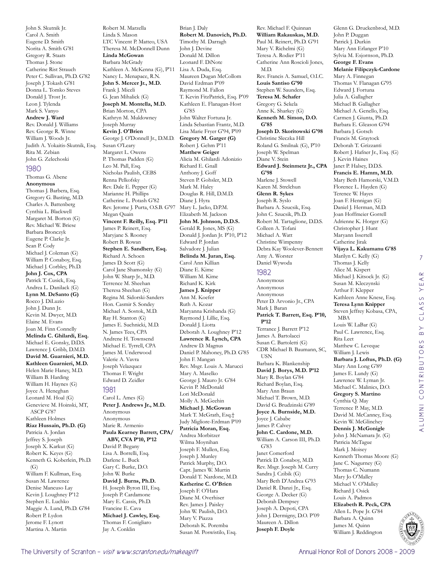John S. Skutnik Jr. Carol A. Smith Eugene D. Smith Norita A. Smith G'81 Gregory R. Staats Thomas J. Stone Catherine Rist Strauch Peter C. Sullivan, Ph.D. G'82 Joseph J. Tokash G'81 Donna L. Tomko Steves Donald J. Trost Jr. Leon J. Tylenda Mark S. Vanyo **Andrew J. Ward**  Rev. Donald J. Williams Rev. George R. Winne William J. Woods Jr. Judith A. Yokaitis-Skutnik, Esq. Rita M. Zebian John G. Zelechoski

#### 1980

Thomas G. Abene **Anonymous** Thomas J. Barbera, Esq. Gregory G. Basting, M.D. Charles A. Battenberg Cynthia L. Blackwell Margaret M. Borton (G) Rev. Michael W. Briese Barbara Bronczyk Eugene P. Clarke Jr. Sean P. Cody Michael J. Coleman (G) William P. Conaboy, Esq. Michael J. Corbley, Ph.D. **John J. Cox, CPA**  Patrick T. Cusick, Esq. Andrea L. Danilack (G) **Lynn M. DeSanto (G)** Rocco J. DiLuzio John J. Dunn Jr. Kevin M. Dwyer, M.D. Elaine M. Evans Joan M. Finn Connelly **Melinda C. Ghilardi, Esq.**  Michael E. Gonsky, D.D.S. Lawrence J. Gribb, D.M.D. **David M. Guarnieri, M.D. Kathleen Guarnieri, M.D.**  Helen Marie Haney, M.D. William B. Harding William H. Haynes (G) Joyce A. Heneghan Leonard M. Hoal (G) Genevieve M. Hoinski, MT, ASCP G'87 Kathleen Holmes **Riaz Hussain, Ph.D. (G)** Patricia A. Jordan Jeffrey S. Joseph Joseph X. Karkut (G) Robert K. Keyes (G) Kenneth G. Koberlein, Ph.D.  $(G)$ William F. Kullman, Esq. Susan M. Lawrence Denise Mancuso Lay Kevin J. Loughney P'12 Stephen E. Luchko Maggie A. Lund, Ph.D. G'84 Robert P. Lydon Jerome F. Lynott Martina A. Martin

Robert M. Marzella Linda S. Mason LTC Vincent P. Matteo, USA Theresa M. McDonnell Dunn **Linda McGowan**  Barbara McGrady Kathleen A. McKenna (G), P'11 Lisa A. Duda, Esq. Nancy L. Menapace, R.N. **John S. Mercer Jr., M.D.**  Frank J. Miceli G. Jean Mihalick (G) **Joseph M. Montella, M.D.**  Brian Morton, CPA Kathryn M. Muldowney Joseph Murray **Kevin J. O'Brien**  George J. O'Donnell Jr., D.M.D. Susan O'Leary Margaret L. Owens P. Thomas Padden (G) Leo M. Pall, Esq. Nicholas Paulish, CEBS Renna Pelkofsky Rev. Dale E. Pepper (G) Marianne H. Phillips Catherine L. Potash G'82 Rev. Jerome J. Purta, O.S.B. G'97 Megan Quain **Vincent F. Reilly, Esq. P'11** James P. Reinert, Esq. Maryjane S. Rooney Robert B. Rowan **Stephen E. Sandherr, Esq.**  Richard A. Schoen James D. Scott (G) Carol Jane Shamonsky (G) John W. Sharp Jr., M.D. Terrence M. Sheehan Theresa Sheehan (G) Regina M. Sidorski-Sanders Hon. Casmir S. Sondey Michael A. Sostok, M.D. Ray H. Stanton (G) James E. Suchnicki, M.D. N. James Tees, CPA Andrene H. Townsend Michael E. Tyrrell, CPA James M. Underwood Valerie A. Vavra Joseph Velazquez Thomas F. Wright Edward D. Zeidler 1981 Carol L. Ames (G) **Peter J. Andrews Jr., M.D.** Anonymous Anonymous Marie R. Armenio **Paula Kearney Barrett, CPA/**

**ABV, CVA P'10, P'12** David P. Begany Lisa A. Borrelli, Esq. Darlene L. Buck Gary C. Burke, D.O. John W. Burke **David J. Burns, Ph.D.**  H. Joseph Byron III, Esq. Joseph P. Cardamone Mary E. Cassis, Ph.D. Francine E. Cava **Michael J. Cawley, Esq.**  Thomas F. Conigliaro Jay A. Conklin

Brian J. Daly **Robert M. Danovich, Ph.D.**  Timothy M. Darragh John J. Devine Donald M. Dillon Leonard F. DiNote Maureen Dugan McCollom David Erdman P'09 Raymond M. Fallon T. Kevin FitzPatrick, Esq. P'09 Kathleen E. Flanagan-Host G'85 John Walter Fortuna Jr. Linda Sebastian Frantz, M.D. Lisa Marie Fryer G'94, P'09 **Gregory M. Garger (G)** Robert J. Gehm P'11 **Matthew Geiger**  Alicia M. Ghilardi Adonizio Richard E. Gnall Anthony J. Goff Steven P. Gohsler, M.D. Mark M. Haley Douglas R. Hill, D.M.D. Diane J. Hyra Mary L. Jacko, D.P.M. Elizabeth M. Jackson **John M. Johnson, D.D.S.**  Gerald R. Jones, MS (G) Donald J. Jordan Jr. P'10, P'12 Edward P. Jordan Salvadore J. Julian **Belinda M. Juran, Esq.**  Carol Ann Killian Diane E. Kime William M. Kime Richard K. Kirk **James J. Knipper**  Ann M. Koefer Ruth A. Kozar Maryanna Krishanda (G) Raymond J. Lillie, Esq. Donald J. Liotta Deborah A. Loughney P'12 **Lawrence R. Lynch, CPA**  Andrew D. Magnus Daniel P. Mahoney, Ph.D. G'85 John F. Mangan Rev. Msgr. Louis A. Marucci Mary A. Maselko George J. Mauro Jr. G'84 Kevin P. McDonald Lori McDonald Molly A. McGeehin **Michael J. McGowan**  Mark T. McGrath, Esq.† Judy Migliore-Erdman P'09 **Patricia Moran, Esq.**  Andrea Morbitzer Wilma Moynihan Joseph F. Mullen, Esq. Joseph J. Munley Patrick Murphy, D.O. Capt. James W. Murtin Donald T. Nardone, M.D. **Katherine C. O'Brien**  Joseph F. O'Hara Diane M. Overhiser Rev. James J. Paisley John W. Paulish, D.O. Mary V. Piazza Deborah K. Poremba

Susan M. Poswistilo, Esq.

Rev. Michael F. Quinnan **William Rakauskas, M.D.**  Paul M. Reinert, Ph.D. G'91 Mary V. Richelmi (G) Teresa A. Rodier P'11 Catherine Ann Roscioli Jones, M.D. Rev. Francis A. Samuel, O.I.C. **Louis Santiso G'90** Stephen W. Saunders, Esq. **Teresa M. Schafer**  Gregory G. Sekela Anne K. Sharkey (G) **Kenneth M. Simon, D.O. G'85 Joseph D. Skoritowski G'98** Christine Sleczka Hill Roland G. Smilnak (G), P'10 Joseph W. Spelman Diane V. Stein **Edward J. Steinmetz Jr., CPA G'98** Marlene J. Stowell Karen M. Strelchun **Glenn R. Sykes**  Joseph R. Syslo Barbara A. Szucsik, Esq. John C. Szucsik, Ph.D. Robert M. Tartaglione, D.D.S. Colleen A. Tofani Michael A. Watt Christine Wimpenny Debra Kay Woolever-Bennett Amy A. Worster Daniel Wywoda 1982 Anonymous Anonymous Anonymous Peter D. Arvonio Jr., CPA Mark J. Baran **Patrick T. Barrett, Esq. P'10, P'12** Terrance J. Barrett P'12 James A. Bartolacci Susan C. Bartoletti (G) CDR Michael B. Baumann, SC, USN Barbara K. Blankenship **David J. Borys, M.D. P'12** Mary R. Boylan G'84 Richard Boylan, Esq. Mary Ann Braun Michael T. Brown, M.D.

David G. Brudzinski G'89 **Joyce A. Burnside, M.D.**  Joyce J. Cababe James P. Calvey **John C. Cardone, M.D.**  William A. Carson III, Ph.D. G'83 Janet Comerford Patrick D. Conaboy, M.D. Rev. Msgr. Joseph M. Curry Sandra J. Czibik (G) Mary Beth D'Andrea G'93 Daniel R. Danzi Jr., Esq. George A. Decker (G) Deborah Dempsey Joseph A. Depoti, CPA John J. Dermigny, D.O. P'09 Maureen A. Dillon

**Joseph F. Doyle** 

Glenn G. Druckenbrod, M.D. John P. Duggan Patrick J. Durkin Mary Ann Erlanger P'10 Sylvia M. Esjornson, Ph.D. **George F. Evans Melanie Filipczyk-Cardone**  Mary A. Finnegan Thomas V. Flanagan G'95 Edward J. Fortuna Julia A. Gallagher Michael B. Gallagher Michael A. Genello, Esq. Carmen J. Giunta, Ph.D. Barbara E. Gleason G'94 Barbara J. Gotsch Francis M. Graytock Deborah T. Grizzanti Robert J. Hafner Jr., Esq. (G) J. Kevin Haines Janet P. Halsey, D.D.S. **Francis E. Hamm, M.D.**  Mary Beth Hamorski, V.M.D. Florence L. Hayden (G) Terence W. Hayes Joan F. Hennigan (G) Daniel J. Herman, M.D. Joan Hoffmeier Gorrell Adrienne K. Horger (G) Christopher J. Hunt Maryann Issertell Catherine Jirak **Vijaya L. Kakumanu G'85** Marilyn C. Kelly (G) Thomas J. Kelly Alice M. Kispert Michael J. Kitsock Jr. (G) Susan M. Kleczynski Arthur F. Klepper Kathleen Anne Knese, Esq. **Teresa Lynn Knipper**  Steven Jeffrey Kobasa, CPA, MBA Louis W. LaBar (G) Paul C. Lawrence, Esq. Rita Leet Matthew C. Leveque William J. Lewis **Barbara J. Loftus, Ph.D. (G)** Mary Ann Long G'89 James E. Lundy (G) Lawrence W. Lyman Jr. Michael C. Malinics, D.O. **Gregory S. Martino**  Cynthia Q. May Terrence P. May, M.D. David M. McCanney, Esq. Kevin W. McGlinchey **Dennis J. McGonigle**  John J. McNamara Jr. (G) Patricia McTague Mark J. Moisey Kenneth Thomas Moore (G) Jane C. Nagurney (G) Thomas C. Numann Mary Jo O'Malley Michael V. O'Malley Richard J. Osick Louis A. Padmos **Elizabeth R. Peck, CPA** 

7

YEAR

CLASS

 $\overline{B}$ 

alumni contributors by class year

ALUMNI CONTRIBUTORS

Allen L. Pope Jr. G'84 Barbara A. Quinn James M. Quinn William J. Reddington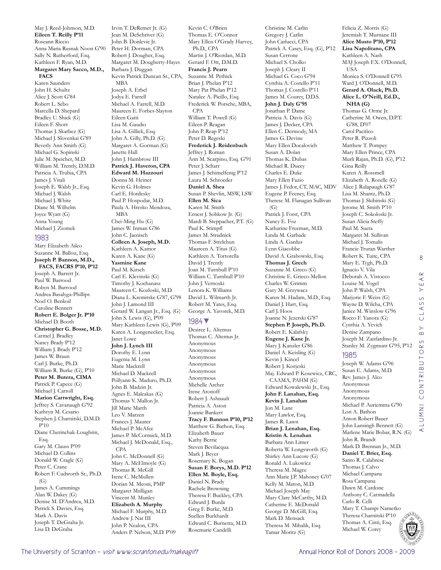May J. Reed-Johnson, M.D. **Eileen T. Reilly P'11** Roseann Riccio Anna Maria Rusnak Noon G'90 Sally N. Rutherford, Esq. Kathleen F. Ryan, M.D. **Margaret Mary Sacco, M.D., FACS**  Karen Saunders John H. Schultz Alice J. Scott G'84 Robert L. Sebo Marcella D. Shepard Bradley U. Shick (G) Eileen F. Short Thomas J. Skarbez (G) Michael J. Slovenkai G'89 Beverly Ann Smith (G) Michael G. Sopinski Julie M. Speicher, M.D. William M. Trently, D.M.D. Patricia A. Trubia, CPA James J. Vitali Joseph E. Walsh Jr., Esq. Michael J. Walsh Michael J. White Diane M. Wilhelm Joyce Wyatt (G) Anna Young Michael J. Ziomek 1983 Mary Elizabeth Aileo Suzanne M. Ballou, Esq. **Joseph P. Bannon, M.D., FACS, FACRS P'10, P'12** Joseph A. Barrett Jr. Paul W. Barrood Robyn M. Barrood Andrea Basalyga-Phillips Noel O. Benkoil Caroline Bennett **Robert E. Bolger Jr. P'10** Michael D. Booth **Christopher G. Bosse, M.D.**  Carmel J. Bradley Nancy Brady P'12 William J. Brady P'12 James W. Braun Carl J. Burke, Ph.D. William R. Burke (G), P'10 **Peter M. Butera, CIMA**  Patrick P. Capece (G) Michael J. Carroll **Marion Cartwright, Esq.**  Jeffrey S. Cavanaugh G'92 Kathryn M. Cesario Stephen J. Charnitski, D.M.D.

P'10 Diane Cherinchak-Loughrin, Esq. Gary M. Clauss P'09 Michael D. Collins Donald W. Cragle (G) Peter C. Crane Robert F. Cudworth Sr., Ph.D.  $(G)$ James A. Cummings Alan W. Dakey (G) Denise M. D'Andrea, M.D. Patrick S. Davies, Esq. Mark A. Davis Joseph T. DeGraba Jr. Lisa D. DeGraba

Irvin T. DeRemer Jr. (G) Jean M. DeSchriver (G) John B. Donlevie Jr. Peter H. Dorman, CPA Robert J. Dougher, Esq. Margaret M. Dougherty-Hayes Barbara J. Duggan Kevin Patrick Duncan Sr., CPA, MBA Joseph A. Erbel Jodya E. Farrell Michael A. Farrell, M.D. Maureen E. Forbes-Slayton Eileen Gatti Lisa M. Gaudio Lisa A. Gillick, Esq. John A. Gilly, Ph.D. (G) Margaret A. Gorman (G) Janette Hall John J. Hambrose III **Patrick J. Haveron, CPA Edward M. Hazzouri**  Donna M. Heiner Kevin G. Holmes Carl E. Hordesky Paul P. Hospodar, M.D. Paula A. Hresko Mendoza, MBA Chei-Ming Hu (G) James W. Inman G'86 John C. Jaenisch **Colleen A. Joseph, M.D.**  Kathleen A. Kamor Karen A. Kane (G) **Yasmine Kane**  Paul M. Kirsch Carl E. Klevinski (G) Timothy J. Kochanasz Maureen C. Kozloski, M.D. Diana L. Kremitske G'87, G'98 John J. Lamond III Gerard W. Langan Jr., Esq. (G) John S. Lewis (G), P'09 Mary Kathleen Lewis (G), P'09 Karen A. Longenecker, Esq. Janet Lowe **John J. Lynch III**  Dorothy E. Lynn Eugenia M. Lynn Marie Mackrell Michael D. Mackrell Pollyann K. Maduro, Ph.D. John B. Madzin Jr. Agnes E. Maleakas (G) Thomas V. Mallon Jr. Jill Marie Marth Leo V. Marzen Frances J. Maurer Michael P. McAfee James P. McCormick, M.D. Michael J. McDonald, Esq., CPA John C. McDonnell (G) Mary A. McElmoyle (G) Thomas R. McGill Irene C. McMullen Dorian M. Meoni, PMP Margaret Mulligan Vincent M. Munley **Elizabeth A. Murphy** 

Michael F. Murphy, M.D. Anders P. Nelson, M.D. P'09 **Francis J. Pearn**  Suzanne M. Pethick Brian J. Phelan P'12 Mary Pat Phelan P'12 Natalee A. Picillo, Esq. Frederick W. Porsche, MBA, CPA William T. Powell (G) Eileen P. Reagan John P. Reap P'12 Peter D. Regeski **Frederick J. Reidenbach**  Jeffrey J. Roman Ann M. Scarpino, Esq. G'91 Peter J. Scharr James J. Schimelfenig P'12 Laura M. Schroeder **Daniel A. Shea**  Susan P. Shevlin, MSW, LSW **Ellen M. Sica**  Karen M. Smith Ernest J. Sobkow Jr. (G) Mardi B. Steppacher, P.T. (G) Paul K. Stimpfl James M. Stradnick Thomas F. Strelchun Maureen A. Titus (G) Kathleen A. Tortorella David I. Trently Joan M. Turnbull P'10 William C. Turnbull P'10 John J. Vernoski Lenora K. Williams David L. Wilmarth Jr. Robert M. Yates, Esq. George A. Yavorek, M.D. 1984▼ Desiree L. Altemus Thomas C. Altemus Jr. Anonymous Anonymous Anonymous Anonymous Anonymous Anonymous Michelle Archer Irene Aronoff Robert J. Ashnault Patricia A. Aston Joanne Bankert **Tracy F. Bannon P'10, P'12** Matthew G. Bathon, Esq. Elizabeth Bauer Kathy Berrie Steven Bevilacqua Mark J. Beyer Rosemary K. Bogan **Susan F. Borys, M.D. P'12 Ellen M. Boyle, Esq.**  Daniel N. Brady Rachele Browning Theresa F. Buckley, CPA Edward J. Burda Greg F. Burke, M.D. Suellen Burkhardt Edward C. Burnetta, M.D. Rosemarie Candelli

Ph.D., CPA

Kevin C. O'Brien Thomas E. O'Connor Mary Ellen O'Grady Harvey, Martin J. O'Riordan, M.D. Gerard F. Ott, D.M.D. Christine M. Carlin Gregory J. Carlin John Carlucci, CPA Susan Cerrone Michael S. Cholko Joseph J. Cleary II Michael G. Coco G'94 **John J. Daly G'95** Jonathan P. Dame Patricia A. Davis (G) James J. Decker, CPA Ellen C. Dermody, MA James G. Devine Mary Ellen Docalovich Susan A. Dolan Thomas K. Dubas Michael R. Ducey Charles E. Duke Mary Ellen Fazio Eugene P. Feeney, Esq.  $(G)$ Patrick J. Forst, CPA Nancy E. Foz Linda M. Garbade Linda A. Gardus Lynn Giacobbe **Thomas J. Grech**  Suzanne M. Greco (G) Charles W. Grimm Gary M. Grzywacz Daniel J. Hart, Esq. Carl J. Hoos Robert E. Kalafsky **Eugene J. Kane Jr.**  Mary J. Kanzler G'86 Daniel A. Keisling (G) Kevin J. Kincel Robert J. Korjeski **Kevin J. Lanahan**  Jon M. Lane Mary Lawlor, Esq. James R. Lawn **Kristin A. Lenahan**  Barbara Ann Limer Ronald A. Lukowicz Theresa M. Magee Kelly M. Maton, M.D. Michael Joseph May Catherine E. McDonald George D. McGill, Esq. Mark D. Mensack Theresa M. Mihalik, Esq. Tamar Moritz (G)

Patrick A. Casey, Esq. (G), P'12 Cynthia A. Costello P'11 Thomas J. Costello P'11 James M. Courey, D.D.S. James J. Fedor, CT, MAC, MDV Therese M. Flanagan Sullivan Katharine Freeman, M.D. David A. Grabowski, Esq. Christine E. Grieco-Mellon Karen M. Hadam, M.D., Esq. Joanne N. Jezerski G'87 **Stephen P. Joseph, Ph.D.**  Maj. Edward P. Kosewicz, CRC, CAAMA, PAHM (G) Edward Kowalewski Jr., Esq. **John F. Lanahan, Esq. Brian J. Lenahan, Esq.**  Roberta W. Longsworth (G) Shirley Ann Lucore (G) Ann Marie J.P. Mahoney G'07 Mary Clare McCarthy, M.D. Felicia Z. Morris (G) Kathleen A. Nash USA **NHA (G)** G'88, D'07 Carol Pacifico Peter R. Pizzoli Gina Reilly Karen A. Rossmell Susan Alicia Steffy Paul M. Sueta Michael J. Tomalis Ignacio V. Vila Louise M. Vogel John P. Walsh, CPA Cynthia A. Yevich Denise Zampano 1985 Rev. James J. Alco Anonymous Anonymous Anonymous Lori A. Bathon Anton Robert Bauer John Lansingh Bennett (G) Marlene Marie Bobar, R.N. (G) John R. Brandt Mark D. Brennan Jr., M.D. **Daniel T. Brier, Esq.**  Santo R. Calabrese Thomas J. Calvo Michael Campana Rosa Campana Dawn M. Cardone Anthony C. Carmadella Carlo R. Celli Mary T. Champi Nametko

Jeremiah T. Murnane III **Alice Musto P'10, P'12 Lisa Napolitano, CPA**  MAJ Joseph F.X. O'Donnell, Monica S. O'Donnell G'95 Ward J. O'Donnell, M.D. **Gerard A. Olack, Ph.D. Alice L. O'Neill, Ed.D.,**  Thomas G. Orme Jr. Catherine M. Owen, D.P.T. Matthew T. Pompey Mary Ellen Prince, CPA Murli Rajan, Ph.D. (G), P'12 Elizabeth A. Rozelle (G) Alice J. Rulapaugh G'87 Lisa M. Shantz, Ph.D. Thomas J. Skibinski (G) Jerome M. Smith P'10 Joseph C. Sokoloski Jr. Margaret M. Sullivan Francie Truran Warther Robert K. Tuite, CPA Mary E. Tygh, Ph.D. Deborah A. Vistocco Marjorie F. Weiss (G) Wayne D. Wilcha, CPA Janice M. Winslow G'96 Rocco F. Yanora (G) Joseph M. Zanfardino Jr. Stanley M. Zygmunt G'95, P'12 Joseph W. Adams G'96 Susan E. Adams, M.D. Michael P. Auriemma G'90

8

The University of Scranton – *visit www.scranton.edu/makeagift* Annual Honor Roll of Donors 2008 - 2009 - 2009 - 2009

Andrew J. Nat III John P. Nealon, CPA Theresa Charnitski P'10 Thomas A. Cinti, Esq. Michael W. Corey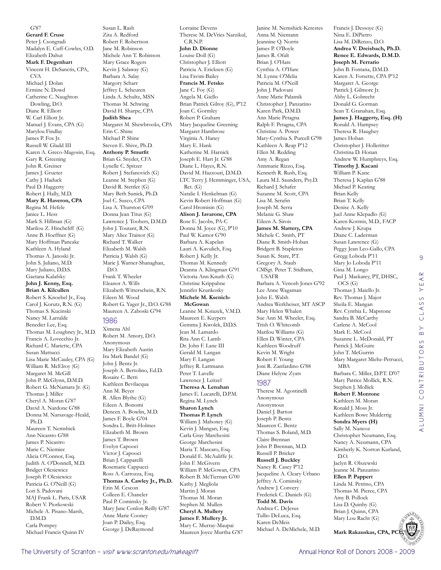**Gerard F. Cruse**  Peter J. Csongradi Madalyn E. Cuff-Cowles, O.D. Elizabeth Dahut **Mark F. Degenhart**  Vincent H. DeSanctis, CPA, CVA Michael J. Dolan Ermine N. Dowd Catherine C. Naughton Dowling, D.O. Diane R. Elliott W. Carl Elliott Jr. Manuel J. Evans, CPA (G) Marylou Findlay James P. Fox Jr. Russell W. Gladd III Karen A. Greco-Magosin, Esq. Gary R. Greening John R. Greiner James J. Grueter Cathy J. Haduck Paul D. Haggerty Robert J. Hally, M.D. **Mary R. Haveron, CPA**  Regina M. Hefele Janice L. Hess Mark S. Hillman (G) Marilou Z. Hinchcliff (G) Anne B. Hoeffner (G) Mary Hoffman Pancake Kathleen A. Hyland Thomas A. Janoski Jr. John S. Juliano, M.D. Mary Juliano, D.D.S. Gaetana Kalafsky **John J. Kenny, Esq. Brian A. Kilcullen**  Robert S. Knoebel Jr., Esq. Carol J. Korutz, R.N. (G) Thomas S. Kucinski Nancy M. Larralde Benedict Lee, Esq. Thomas M. Loughney Jr., M.D. Francis A. Lovecchio Jr. Richard C. Mariette, CPA Susan Mattucci Lisa Marie McCauley, CPA (G) William R. McElroy (G) Margaret M. McGill John P. McGlynn, D.M.D. Robert G. McNamara Jr. (G) Thomas J. Miller Cheryl A. Moran G'87 David A. Nardone G'88 Donna M. Narsavage-Heald, Ph.D. Maureen T. Nemshick Ann Nicastro G'88 James P. Nicastro Marie C. Niemiec Alicia O'Connor, Esq. Judith A. O'Donnell, M.D. Bridget Olesiewicz Joseph P. Olesiewicz Patricia G. O'Neill (G) Lori S. Padovani MAJ Frank L. Paris, USAR Robert V. Piorkowski Michele A. Pisano-Marsh, D.M.D. Carla Pompey Michael Francis Quinn IV

G'87

Susan L. Rash Zita A. Redford Robert F. Robertson Jane M. Robinson Michele Ann T. Robinson Mary Grace Rogers Kevin J. Salaway (G) Barbara A. Salay Margory Scharr Jeffrey L. Scheuren Linda A. Schultz, MSN Thomas M. Schwing David H. Sharpe, CPA **Judith Shea**  Margaret M. Shewbrooks, CPA Erin C. Shine Michael P. Shine Steven E. Shive, Ph.D. **Anthony P. Smurfit**  Brian G. Snyder, CFA Lynelle C. Spitzer Robert J. Stefanovich (G) Leanne M. Stephen (G) David R. Stettler (G) Mary Beth Sunick, Ph.D. Joel C. Susco, CPA Lisa A. Thurston G'09 Donna Jean Titus (G) Lawrence J. Toohers, D.M.D. John J. Toutant, R.N. Mary Alice Trainor (G) Richard T. Walker Elizabeth M. Walsh Patricia J. Walsh (G) Marie J. Warner-Shanaghan, D.O. Frank T. Wheeler Eleanor A. Wills Elizabeth Witterschein, R.N. Eileen M. Wood Robert G. Yager Jr., D.O. G'88 Maureen A. Zaboski G'94 1986 Ximena Ahl Robert M. Amory, D.O. Anonymous Mary Elizabeth Austin Ira Mark Bandel (G) John J. Bentz Jr. Joseph A. Bertolino, Ed.D. Rosaire C. Betti Kathleen Bevilacqua Ann M. Beyer R. Allen Blythe (G) Eileen A. Bonomi Deneen A. Bowlin, M.D. James F. Boyle G'04 Sondra L. Britt-Holmes Elizabeth M. Brown James T. Brown Evelyn Capooci Victor J. Capooci Brian J. Capparelli Rosemarie Cappucci Ross A. Carrozza, Esq.

## **Thomas A. Cawley Jr., Ph.D.**

Erin M. Cescon Colleen E. Chancler Paul P. Cominsky Jr. Mary Jane Conlon Reilly G'87 Anne Marie Cooney Joan P. Dailey, Esq. George J. DeRaymond

Lorraine Devens Therese M. DeVries Narzikul, C.R.N.P. **John D. Dionne**  Louise Doll (G) Christopher J. Elliott Patricia A. Ericksen (G) Lisa Favini-Bailey **Francis M. Fetsko**  Jane C. Foy (G) Angela M. Giello Brian Patrick Gilroy (G), P'12 Joan C. Gormley Robert P. Graham Mary Jacqueline Greening Margaret Hambrose Virginia A. Haney Mary E. Hank Katherine M. Harnick Joseph E. Hart Jr. G'88 Diane L. Hayes, R.N. David M. Hazzouri, D.M.D. LTC Terry J. Hemminger, USA, Ret. (G) Natalie I. Henkelman (G) Kevin Robert Hoffman (G) Carol Hromisin (G) **Alison J. Iavarone, CPA**  Rose E. Jacobs, PA-C Donna M. Joyce (G), P'10 Paul W. Kamor G'90 Barbara A. Kapelan Lauri A. Kavulich, Esq. Robert J. Kelly Jr. Thomas M. Kennedy Deanna A. Klingman G'91 Victoria Ann Knuth (G) Christine Krippahne Jennifer Krunkosky **Michele M. Ksenich-McGowan**  Leanne M. Ksiazek, V.M.D. Maureen E. Kuypers Gemma J. Kwolek, D.D.S. Jean M. Lamardo Rita Ann C. Lamb Dr. John F. Lane III Gerald M. Langan Mary F. Langan Jeffrey R. Lattmann Peter T. Lavelle Lawrence J. Leitzel **Theresa A. Lenahan**  James E. Lucarelli, D.P.M. Regina M. Lynch **Sharon Lynch Thomas P. Lynch**  William J. Mahoney (G)

Kevin J. Mangan, Esq. Carla Gray Marchesini George Marchesini Maria T. Mascaro, Esq. Donald E. McAuliffe Jr. John F. McGivern

Kathy J. Megliola Martin J. Moran Thomas M. Moran Stephen M. Mullen **Cheryl A. Mullery James F. Mullery Jr.**  Mary C. Murray-Maupai

William P. McGowan, CPA Robert B. McTiernan G'00 Maureen Joyce Murtha G'87 John J. Padovani Anne Marie Palatnik Christopher J. Panzarino Karen Park, D.M.D. Ann Marie Petagna Ralph F. Petagna, CPA Christine A. Power Mary-Cynthia S. Purcell G'98 Kathleen A. Reap P'12 Ellen M. Redding Amy A. Regan Annmarie Rizzo, Esq. Kenneth R. Rush, Esq. Laura M.I. Saunders, Psy.D. Richard J. Schafer Suzanne M. Scott, CPA Lisa M. Serafin Joseph M. Serra Melanie G. Shaw Eileen A. Sirois **James M. Slattery, CPA**  Michele C. Smith, PT Diane R. Smith-Hoban Bridgett B. Stapleton Susan K. Stare, P.T. Gregory A. Staub CMSgt. Peter T. Stidham, USAFR Barbara A. Venosh Jones G'92 Lee Anne Wagaman John E. Walsh Andrea Werkheiser, MT ASCP Mary Helen Whalen Sue Ann M. Wheeler, Esq. Trish O. Whitcomb Marilou Williams (G) Ellen D. Winter, CPA Kathleen Woodruff Kevin M. Wright Robert F. Young Joni R. Zanfardino G'88 Diane Helyne Zyats 1987 Therese M. Agostinelli Anonymous Anonymous Daniel J. Barton Joseph P. Bentz Maureen C. Bentz Thomas S. Boland, M.D. Claire Brennan John P. Brennan, M.D. Russell P. Bricker **Russell J. Buckley**  Nancy R. Casey P'12 Jacqueline A. Cleary Urbano Jeffrey A. Cominsky Andrew J. Convery Frederick C. Daniels (G) **Todd M. Davis**  Andrea C. DeJesus Tullio DeLuca, Esq. Karen DeMeis Michael A. DeMichele, M.D.

Janine M. Nemshick-Kerestes Anna M. Niemann Jeannine Q. Norris James P. O'Boyle James R. Ofalt Brian J. O'Hare Cynthia A. O'Hare M. Lynne O'Melia Patricia M. O'Neill

Francis J. Dessoye (G) Nina E. DiPietro Lisa M. DiRenzo, D.O. **Andrea V. Dreisbach, Ph.D. Renee E. Edwards, D.M.D. Joseph M. Ferrario**  John B. Fontana, D.M.D. Karen A. Forsette, CPA P'12 Margaret A. George Patrick J. Gilmore Jr. Abby L. Gobrecht Donald G. Gorman Sean T. Granahan, Esq. **James J. Haggerty, Esq. (H)** Ronald A. Hampsey Theresa R. Haughey James Hoban Christopher J. Holleritter Christina D. Honan Andrew W. Humphreys, Esq. **Timothy J. Kacani**  William P. Kane Theresa J. Kaplan G'88 Michael P. Keating Brian Kelly Brian T. Kelly Denise A. Kelly Juel Anne Klepadlo (G) Karen Kormis, M.D., FACP Andrew J. Krupa Diane C. Laderman Susan Lawrence (G) Peggy Jean Leo-Gallo, CPA Gregg Loboda P'11 Mary Jo Loboda P'11 Gina M. Longo Paul J. Mackarey, PT, DHSC, OCS (G) Thomas J. Maiello Jr. Rev. Thomas J. Major Sheila E. Mangan Rev. Cynthia L. Mapstone Sandra B. McCarthy Carlene A. McCool Mark E. McCool Suzanne L. McDonald, PT Patrick J. McGuire John T. McGurrin Mary Margaret Miehe-Petrucci, MBA Barbara C. Miller, D.P.T. D'07 Mary Patrice Mollick, R.N. Stephen J. Mollick **Robert F. Montone**  Kathleen M. Moran Ronald J. Moss Jr. Kathleen Bowe Mulderrig **Sondra Myers (H)** Sally M. Nancoz Christopher Neumann, Esq. Nancy A. Neumann, CPA Kimberly K. Norton Kurland, D.O. Jaclyn R. Olszewski Jeanne M. Panzarino **Ellen P. Pappert**  Linda M. Petrino, CPA Thomas M. Pierce, CPA Amy B. Pollock Lisa D. Quinby (G) Brian J. Quinn, CPA Mary Lou Racht (G)

9

YEAR

CLASS

 $\overline{B}$ 

alumni contributors by class year

ALUMNI CONTRIBUTORS

**Mark Rakauskas, CPA, PC**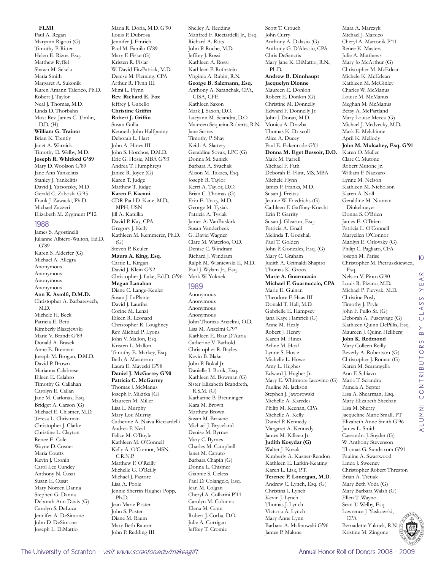Paul A. Regan Maryann Rigotti (G) Timothy P. Ritter Helen E. Rizos, Esq. Matthew Ryffel Shawn M. Sekela Maria Smith Margaret A. Sukonik Karen Amann Talerico, Ph.D. Robert J. Taylor Neal J. Thomas, M.D. Linda D. Thorbahn Most Rev. James C. Timlin, D.D. (H) **William G. Trainor**  Brian K. Trently Janet A. Warnick Timothy D. Welby, M.D. **Joseph R. Whitford G'89** Mary D. Woolson G'89 Jane Ann Yankelitis Stanley J. Yankelitis David J. Yatsonsky, M.D. Gerald C. Zaboski G'95 Frank J. Zawacki, Ph.D. Michael Zazzeri Elizabeth M. Zygmunt P'12 1988 James S. Agostinelli Julianne Albiero-Walton, Ed.D. G'89 Karen S. Alderfer (G) Michael A. Allegra Anonymous Anonymous Anonymous Anonymous

**Ann K. Astolfi, D.M.D.**  Christopher A. Barbarevech, M.D. Michele H. Beck Patricia E. Betti Kimberly Blazejewski Marie V. Brandt G'89 Donald A. Brasek Anne E. Brennan Joseph M. Brogan, D.M.D. David P. Brown Marianna Calabrese Eileen E. Calabro Timothy G. Callahan Carolyn E. Callan Jane M. Carlonas, Esq. Bridget A. Carson (G) Michael E. Chismer, M.D. Teresa L. Christman Christopher J. Clarke Christine L. Clayton Renee E. Cole Wayne D. Cosner Maria Coutts Kevin J. Cronin Carol Lee Cundey Anthony N. Cusat Susan E. Cusat Mary Noreen Danna Stephen G. Danna Deborah Ann Davis (G) Carolyn S. DeLuca Jennifer A. DeSimone John D. DeSimone Joseph L. DiMattio

Jennifer J. Emrich Paul M. Familo G'89 Mary F. Fiske (G) Kristen R. Fislar W. David FitzPatrick, M.D. Denise M. Fleming, CPA Arthur R. Flynn III Mimi L. Flynn **Rev. Richard E. Fox**  Jeffrey J. Gabello **Christine Griffin Robert J. Griffin**  Susan Gulla Kenneth John Halfpenny Deborah L. Hart John A. Hines III John S. Horchos, D.M.D. Eric G. Hosie, MBA G'93 Andrea T. Humphreys Janice R. Joyce (G) Karen T. Judge Matthew T. Judge **Karen F. Kacani**  CDR Paul D. Kane, M.D., MPH, USN Jill A. Katulka David P. Kay, CPA Gregory J. Kelly Kathleen M. Kemmerer, Ph.D.  $(G)$ Steven P. Keuler **Maura A. King, Esq.**  Carrie L. Kirgan David J. Klein G'92 Christopher J. Lake, Ed.D. G'96 **Megan Lanahan**  Diane C. Lange-Keuler Susan J. LaPlante David J. Lauriha Corine M. Lenzi Eileen R. Leonard Christopher R. Loughney Rev. Michael P. Lyons John V. Mallon, Esq. Kristen L. Mallon Timothy E. Markey, Esq. Beth A. Masterson Laura E. Mayeski G'98 **Daniel J. McGarrey G'90 Patricia C. McGarrey**  Thomas J. McManus Joseph F. Mikitka (G) Maureen M. Miller Lisa L. Murphy Mary Lou Murray Catherine A. Naiva Ricciardelli Andrea F. Neal Felice M. O'Boyle Kathleen M. O'Connell Kelly A. O'Connor, MSN, C.R.N.P. Matthew F. O'Reilly Michelle G. O'Reilly Michael J. Pastore Lisa A. Poole Jennie Sherrin Hughes Popp, Ph.D. Jean Marie Poster John S. Poster Diane M. Raum Mary Beth Rauser

Maria R. Doria, M.D. G'90 Louis P. Dubrosa

Shelley A. Redding Manfred F. Ricciardelli Jr., Esq. Richard A. Ritts John P. Roche, M.D. Jeffrey J. Rossi Kathleen A. Rossi Kathleen P. Rothstein Virginia A. Rubin, R.N. **George B. Salzmann, Esq.**  Anthony A. Saranchak, CPA, CISA, CFE Kathleen Saxon Mark J. Saxon, D.O. Lucyann M. Sciandra, D.O. Maureen Sequeira-Roberts, R.N. Jane Serres Timothy P. Shay Keith A. Slattery Geraldine Sovak, LPC (G) Donna M. Sunick Barbara A. Svachak Alison M. Takacs, Esq. Joseph R. Taylor Kerri A. Taylor, D.O. Brian C. Thomas (G) Erin E. Tracy, M.D. George M. Tysiak Patricia A. Tysiak James A. VanBuskirk Susan Vanderbeek G. David Wagner Clare M. Waterloo, O.D. Denise C. Windram Richard J. Windram Ralph M. Wisniewski II, M.D. Paul J. Wylam Jr., Esq. Mark W. Yuknek 1989 Anonymous Anonymous Anonymous Anonymous John Thomas Anzelmi, O.D. Lisa M. Anzelmi G'97 Kathleen E. Baar D'Auria Catherine V. Barhold Christopher R. Bayles Kevin B. Blake John P. Bokal Jr. Danielle I. Borik, Esq. Kathleen M. Bowman (G) Sister Elizabeth Brandreth, R.S.M. (G) Katharine B. Breuninger Kara M. Brown Matthew Brown Susan M. Browne Michael J. Bryceland Denise M. Byrnes Mary C. Byrnes Charles M. Campbell Janet M. Caputo Barbara Chapin (G) Donna L. Chismer Giannie S. Cieless Paul D. Colangelo, Esq. Jean M. Colgan Cheryl A. Collarini P'11 Carolyn M. Colonna Elena M. Conn Robert J. Corba, D.O. Julie A. Corrigan Jeffrey T. Cromie

Scott T. Crouch John Curry Anthony A. Dalasio (G) Anthony G. D'Alessio, CPA Chris DeSanctis Mary Jane K. DiMattio, R.N., Ph.D. **Andrew B. Dinnhaupt Jacquelyn Dionne**  Maureen E. Donlon Robert E. Donlon (G) Christine M. Donnelly Edward F. Donnelly Jr. John J. Doran, M.D. Monica A. Drazba Thomas K. Driscoll Alice A. Ducey Paul E. Eckenrode G'01 **Donna M. Eget Bessoir, D.O.**  Mark M. Farrell Michael F. Fath Deborah E. Flint, MS, MBA Michele Flynn James F. Franks, M.D. Susan J. Freitas Jeanne W. Friedrichs (G) Cathleen F. Gaffney-Knecht Erin P. Garrity Susan J. Gleason, Esq. Patricia A. Gnall Melinda T. Godshall Paul T. Golden John P. Gonzales, Esq. (G) Mary C. Graham Judith A. Grimaldi Shapiro Thomas K. Groos **Marie A. Guarnuccio Michael F. Guarnuccio, CPA**  Marie E. Guinan Theodore F. Haas III Donald T. Hall, M.D. Gabrielle E. Hampsey Jana Kaye Hamrick (G) Anne M. Healy Robert J. Henry Karen M. Hines Arline M. Hoal Lynne S. Hosie Michelle L. Howe Amy L. Hughes Edward J. Hughes Jr. Mary E. Whitmore Iacovino (G) Pauline M. Jackson Stephen J. Jaworowski Michelle A. Karedes Philip M. Keenan, CPA Michelle A. Kelly Daniel P. Kennedy Margaret A. Kennedy James M. Killeen Jr. **Judith Kosydar (G)** Walter J. Kozak Kimberly A. Kusner-Rendon Kathleen E. Larkin-Keating Karen L. Lisk, P.T. **Terence P. Lonergan, M.D.**  Andrew C. Lynch, Esq. (G) Christina I. Lynch Kevin J. Lynch Thomas J. Lynch Victoria A. Lynch Mary Anne Lynn Barbara A. Malinowski G'96 James P. Malone

Mara A. Marczyk Michael J. Marsico Cheryl A. Martonik P'11 Renee K. Masters Julie A. Matthews Mary Jo McArthur (G) Christopher M. McErlean Michele K. McErlean Kathleen M. McGinley Charles W. McManus Louise M. McManus Meghan M. McManus Betsy A. McPartland Mary Louise Mecca (G) Michael J. Medvecky, M.D. Mark E. Melchione April K. Mellody **John M. Mulcahey, Esq. G'91** Karen O. Muller Clare C. Mutone Robert Mutone Jr. William F. Nazzaro Lynne M. Nelson Kathleen M. Nicholson Karen A. Noll Geraldine M. Noonan Dinkelmeyer Donna S. O'Brien James E. O'Brien Patricia L. O'Connell Maryellen O'Connor Marilyn E. Orlovsky (G) Philip C. Pagliaro, CFA Joseph M. Parise Christopher M. Pietruszkiewicz, Esq. Nelson V. Pinto G'90 Louis R. Pizano, M.D. Michael P. Plevyak, M.D. Christine Posly Timothy J. Pryle John F. Pullo Sr. (G) Deborah A. Puscavage (G) Kathleen Quinn DePillis, Esq. Maureen J. Quinn Hellberg **John K. Redmond**  Mary Colleen Reilly Beverly A. Robertson (G) Christopher J. Roman (G) Karen M. Scarangella Ann F. Schiavo Maria T. Sciandra Pamela A. Septer Lisa A. Shearman, Esq. Mary Elizabeth Sheehan Lisa M. Sherry Jacqueline Marie Small, PT Elizabeth Anne Smith G'96 James L. Smith Cassandra J. Snyder (G) W. Anthony Stevenson Thomas G. Sundstrom G'91 Pauline A. Swartwood Linda J. Sweeney Christopher Robert Threston Brian A. Tretiak Mary Beth Voda (G) Mary Barbara Walsh (G) Ellen T. Wayne Sean T. Welby, Esq. Lawrence J. Yaskowski, CPA Bernadette Yuknek, R.N.

10



John P. Redding III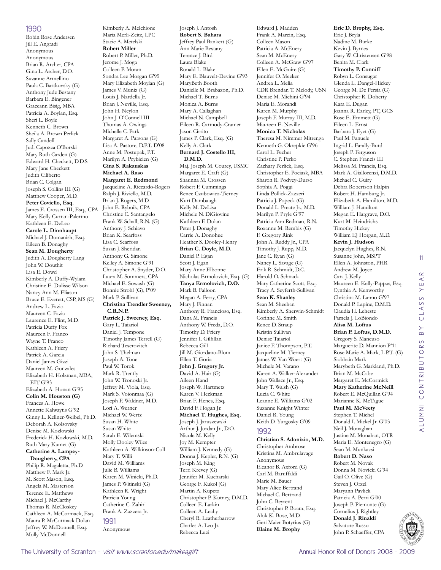#### 1990

Robin Rose Andersen Jill E. Angradi Anonymous Anonymous Brian R. Archer, CPA Gina L. Archer, D.O. Suzanne Armellino Paula C. Bartkovsky (G) Anthony Jude Bestany Barbara E. Bingener Graceann Bisig, MBA Patricia A. Boylan, Esq. Sheri L. Boyle Kenneth C. Brown Sheila A. Brown Perlick Sally Candelli Judi Capozza O'Borski Mary Ruth Carden (G) Edward H. Checkett, D.D.S. Mary Jane Checkett Judith Ciliberto Brian C. Colgan Joseph S. Collins III (G) Matthew Cooper, M.D. **Peter Coviello, Esq.**  James E. Crossen III, Esq., CPA Mary Kelly Curran-Palermo Kathleen E. DeLeo **Carole L. Dinnhaupt**  Michael J. Domanish, Esq. Eileen B. Donaghy **Sean M. Dougherty**  Judith A. Dougherty Lang John W. Douthit Lisa E. Dowd Kimberly A. Duffy-Wylam Christine E. Dulisse Wilson Nancy Ann M. Eliason Bruce E. Everett, CSP, MS (G) Andrew L. Fazio Maureen C. Fazio Laurence E. Flint, M.D. Patricia Duffy Fox Maureen F. Franco Wayne T. Franco Kathleen A. Friery Patrick A. Garcia Daniel James Gizzi Maureen M. Gonzales Elizabeth H. Holzman, MBA, EIT G'93 Elizabeth A. Honan G'95 **Colin M. Houston (G)** Frances A. Howe Annette Kalwaytis G'92 Ginny L. Kellner-Weibel, Ph.D. Deborah A. Kolsovsky Denise M. Kozlowski Frederick H. Kozlowski, M.D. Ruth Mary Kumet (G) **Catherine A. Lampey-Dougherty, CPA**  Philip R. Magaletta, Ph.D. Matthew F. Mark Jr. M. Scott Mason, Esq. Angela M. Masterson Terence E. Matthews Michael J. McCarthy Thomas R. McCloskey Cathleen A. McCormack, Esq. Maura P. McCormack Dolan

Jeffrey W. McDonnell, Esq. Molly McDonnell

Kimberly A. Melchione Maria Merli-Zeitz, LPC Stacie A. Metelski **Robert Miller**  Robert P. Miller, Ph.D. Jerome J. Moga Colleen P. Moran Sondra Lee Morgan G'95 Mary Elizabeth Moylan (G) James V. Muniz (G) Louis J. Nardella Jr. Brian J. Neville, Esq. John H. Neylon John J. O'Connell III Thomas A. Owings Michelle C. Park Margaret A. Parsons (G) Lisa A. Pastore, D.P.T. D'08 Anne M. Postupak, P.T. Marilyn A. Prybicien (G) **Gina S. Rakauskas Michael A. Raso Margaret E. Redmond**  Jacqueline A. Riccardo-Rogers Ralph J. Riviello, M.D. Brian J. Rogers, M.D. John E. Rybnik, CPA Christine C. Santangelo Frank W. Schall, R.N. (G) Anthony J. Schiavo Brian K. Searfoss Lisa C. Searfoss Susan J. Sheridan Anthony G. Simone Kelley A. Simone G'91 Christopher A. Snyder, D.O. Laura M. Sommers, CPA Michael E. Sowash (G) Bonnie Strohl (G), P'09 Mark P. Sullivan **Christina Trendler Sweeney, C.R.N.P. Patrick J. Sweeney, Esq.**  Gary L. Taiariol Daniel J. Tempone Timothy James Terrell (G) Richard Teserovitch John S. Thelman Joseph A. Tone Paul W. Torok Mark R. Trently John W. Tronoski Jr. Jeffrey M. Viola, Esq. Mark S. Voionmaa (G) Joseph F. Waldner, M.D. Lori A. Werner Michael W. Wertz Susan H. White Susan White Sarah E. Wilemski Molly Dooley Wiles Kathleen A. Wilkinson-Coll Mary T. Willi David M. Williams Julie B. Williams Karen M. Winicki, Ph.D. James P. Witinski (G) Kathleen R. Wright Patricia Young Catherine C. Zahiri Frank A. Zazzera Jr. 1991 Anonymous

Joseph J. Antosh **Robert S. Bahara**  Jeffrey Paul Bankert (G) Ann Marie Bestany Terence J. Bird Laura Blake Ronald L. Blake Mary E. Blauvelt-Devine G'93 MaryBeth Booth Danielle M. Brabazon, Ph.D. Michael T. Burns Monica A. Burns Mary A. Callaghan Michael N. Campbell Eileen R. Carmody-Cramer Jason Cirrito James P. Clark, Esq. (G) Kelly A. Clark **Bernard J. Costello III, D.M.D.**  Maj. Joseph M. Courey, USMC Margaret E. Craft (G) Shaunna M. Crossen Robert F. Cummings Renee Czubowicz-Tierney Kurt Dambaugh Kelly M. DeLisa Michele N. DiGiovine Kathleen F. Dolan Peter J. Donaghy Carrie A. Donohue Heather S. Dooley-Henry **Brian C. Doyle, M.D.**  Daniel P. Egan Scott J. Egan Mary Anne Elbonne Nicholas Ermolovich, Esq. (G) **Tanya Ermolovich, D.O.**  Mark B. Falloon Megan A. Ferry, CPA Mary J. Finnan Anthony R. Francioso, Esq. Dana M. Francis Anthony W. Freda, D.O. Timothy D. Friery Jennifer I. Gilfillan Rebecca Gill Jill M. Giordano-Blom Ellen T. Goria **John J. Gregory Jr.**  David A. Hair (G) Aileen Hand Joseph W. Hartmetz Karen V. Heckman Brian F. Henes, Esq. David F. Hogan Jr. **Michael T. Hughes, Esq.**  Joseph J. Jaruszewski Arthur J. Jordan Jr., D.O. Nicole M. Kelly Joy M. Kempter William J. Kennedy (G) Donna J. Kepler, R.N. (G) Joseph M. King Terri Krevey (G) Jennifer M. Kucharski George F. Kukol (G) Martin A. Kupetz Christopher P. Kutney, D.M.D. Colleen E. Larkin Colleen A. Leahy Cheryl R. Leatherbarrow Charles A. Leo Jr.

Rebecca Luzi

Edward J. Madden Frank A. Marcin, Esq. Colleen Mason Patricia A. McEnery Sean M. McEnery Colleen A. McGraw G'97 Ellen E. McGuire (G) Jennifer O. Meeker Andrea L. Melia CDR Brendan T. Melody, USN Denise M. Michini G'94 Maria E. Morandi Karen M. Murphy Joseph F. Murray III, M.D. Maureen E. Neville **Monica T. Nicholas**  Theresa M. Nimmer Mitrenga Kenneth G. Okrepkie G'96 Carol L. Pecher Christine P. Perko Zachary Perlick, Esq. Christopher E. Pociask, MBA Sharon R. Podvey-Durso Sophia A. Poggi Linda Pollick-Zazzeri Patricia J. Popeck (G) Donald L. Preate Jr., M.D. Marilyn P. Pryle G'97 Patricia Ann Redman, R.N. Roxanne M. Rembis (G) F. Gregory Rink John A. Ruddy Jr., CPA Timothy J. Rupp, M.D. Jane C. Ryan (G) Nancy L. Savage (G) Erik R. Schmidt, D.C. Harold O. Schnack Mary Catherine Scott, Esq. Tracy A. Seyferth-Sullivan **Sean K. Shanley**  Sean M. Sheehan Kimberly A. Sherwin-Schmidt Corinne M. Smith Renee D. Straup Kristin Sullivan Denise Taiariol Janice F. Thompson, P.T. Jacqueline M. Tierney James W. Van Woert (G) Michele M. Varano Karen A. Walker-Alexander John Wallace Jr., Esq. Mary T. Walsh (G) Lucia C. White Leanne E. Williams G'02 Suzanne Knight Winter Daniel R. Young Keith D. Yurgosky G'09 1992 **Christian S. Adonizio, M.D.**  Christopher Ambrose

Kristina M. Ambrulavage Anonymous Eleanor B. Axford (G) Carl M. Baruffaldi Marie M. Bauer Mary Alice Bertrand Michael C. Bertrand John C. Beyrent Christopher P. Boam, Esq. Alok K. Bose, M.D. Geri Maier Botyrius (G) **Elaine M. Brophy** 

#### **Eric D. Brophy, Esq.**  Eric J. Bryla Nadine M. Burke Kevin J. Byrnes Gary W. Christensen G'98 Benita M. Clark **Timothy P. Conniff**  Robyn L. Consugar Glenda L. Dangel-Hickey George M. De Persia (G) Christopher R. Doherty Kara E. Dugan Joanna R. Earley, PT, GCS Rose E. Emmett (G) Eileen L. Ernst Barbara J. Eyet (G) Paul M. Fanuele Ingrid L. Farally-Burd Joseph P. Ferguson C. Stephen Francis III Melissa M. Francis, Esq. Mark A. Giallorenzi, D.M.D. Michael C. Guiry Debra Robertson Halpin Robert H. Hamburg Jr. Elizabeth A. Hamilton, M.D. William J. Hamilton Megan E. Hargrave, D.O. Kurt M. Heindrichs Timothy Hickey William EJ Horgan, M.D. **Kevin J. Hudson**  Jacquelyn Hughes, R.N. Susanne John, MSPT Ellen A. Johnston, PHR Andrew M. Joyce Cara J. Kelly Maureen E. Kelly-Pappas, Esq. Cynthia A. Kenworthy Christina M. Lanno G'97 Donald P. Lapine, D.M.D. Claudia H. Leheste Pamela J. LoBiondo **Alisa M. Loftus Brian P. Loftus, D.M.D.**  Gregory S. Mancuso Marguerite D. Mannion P'11 Rose Marie A. Mark, L.P.T. (G) Siobhain Mark Marybeth G. Markland, Ph.D. Brian M. McCabe Margaret E. McCormick **Mary Katherine McNeill**  Robert E. McQuillan G'94 Marianne K. McTague **Paul M. McVeety**  Stephen T. Michel Donald I. Mickel Jr. G'03 Neil J. Monaghan Justine M. Monahan, OTR Maria E. Montenegro (G) Sean M. Munkacsi **Robert D. Naso**  Robert M. Novak Donna M. Novicki G'94 Gail O. Olive (G) Steven J. Orzel Maryann Pavlick Patricia A. Perri G'00

11

 $\alpha$  $\prec$ YE,



Joseph P. Piemonte (G) Cornelius J. Rightley **Donald J. Rinaldi**  Salvatore Russo John P. Schaeffer, CPA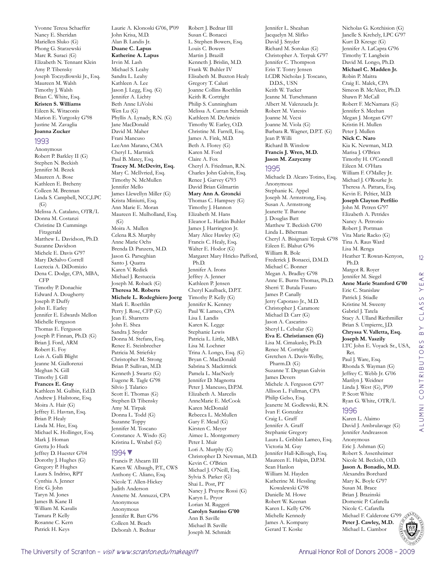Marc R. Suraci (G) Elizabeth N. Tennant Klein Amy P. Tibensky Joseph Toczydlowski Jr., Esq. Maureen M. Walsh Timothy J. Walsh Brian C. White, Esq. **Kristen S. Williams**  Eileen K. Witaconis Marion E. Yurgosky G'98 Justine M. Zavaglia **Joanna Zucker**  1993 Anonymous Robert P. Barkley II (G) Stephen N. Beckish Jennifer M. Bezek Maureen A. Bose Kathleen E. Breheny Colleen M. Brennan Linda S. Campbell, NCC,LPC  $(G)$ Melissa A. Catalano, OTR/L Donna M. Costanzi Christine D. Cummings Fitzgerald Matthew L. Davidson, Ph.D. Suzanne Davidson Michele E. Davis G'97 Mary DeSalvo Correll Lucrecia A. DiDomizio Dena C. Dodge, CPA, MBA, CFP Timothy P. Donachie Edward A. Dougherty Joseph P. Duffy John E. Earley Jennifer E. Edwards Mellon Michelle Ferguson Thomas E. Ferguson Joseph P. Finnan, Ph.D. (G) Brian J. Ford, ARM Robert E. Foy Lois A. Galli Blight Jeanne M. Giallorenzi Meghan N. Gill Timothy J. Gill **Frances E. Gray**  Kathleen M. Gulbin, Ed.D. Andrew J. Hailstone, Esq. Moira A. Hair (G) Jeffrey E. Havran, Esq. Brian P. Healy Linda M. Hee, Esq. Michael K. Hollinger, Esq. Mark J. Homan Gretta Jo Huck Jeffrey D. Huester G'04 Dorothy J. Hughes (G) Gregory P. Hughes Laura S. Indriso, RPT Cynthia A. Jenner Eric G. John Taryn M. Jones James B. Kane II William M. Kasulis Tamara P. Kelly Rosanne C. Kern Patrick H. Keys

Yvonne Teresa Schaeffer Nancy E. Sheridan Mariellen Sluko (G) Phong G. Starzewski

Laurie A. Klonoski G'06, P'09 John Krisa, M.D. Alan B. Landis Jr. **Duane C. Lapus Katherine A. Lapus**  Irvin M. Lash Michael S. Leahy Sandra L. Leahy Kathleen A. Lee Jason J. Legg, Esq. (G) Jennifer A. Lichty Beth Anne LiVolsi Wen Lu (G) Phyllis A. Lynady, R.N. (G) Jane MacDonald David M. Maher Frani Mancuso LeeAnn Marano, CMA Cheryl L. Martnick Paul B. Matey, Esq. **Tracey M. McDevitt, Esq.**  Mary C. McIlvried, Esq. Timothy N. McMullen Jennifer Mello James Llewellyn Miller (G) Krista Miniutti, Esq. Ann Marie E. Moran Maureen E. Mulholland, Esq.  $(G)$ Moira A. Mullen Celena R.S. Murphy Anne Marie Ochs Brenda D. Panzera, M.D. Jason G. Parseghian Santo J. Quatra Karen V. Redick Michael J. Restuccia Joseph M. Roback (G) **Theresa M. Roberts Michele L. Rodeghiero Joerg**  Mark E. Roethlin Perry J. Rose, CFP (G) Jean E. Sharretts John E. Shea Sandra J. Snyder Donna M. Stefans, Esq. Renee E. Steinbrecher Patricia M. Striefsky Christopher M. Strong Brian P. Sullivan, M.D. Kenneth J. Swartz (G) Eugene R. Tagle G'98 Silvio J. Talarico Scott E. Thomas (G) Stephen D. Tibensky Amy M. Tirpak Donna L. Todd (G) Suzanne Toppy Jennifer M. Toscano Constance A. Wisdo (G) Kristina L. Wrabel (G) 1994▼ Francis P. Ahearn III Karen W. Albaugh, P.T., CWS Anthony C. Aliano, Esq. Nicole T. Allen-Hickey Judith Anderson Annette M. Annuzzi, CPA

Robert J. Bednar III Susan C. Bonacci L. Stephen Bowers, Esq. Louis C. Bowers Martin J. Brazill Kenneth J. Brislin, M.D. Frank W. Buhler IV Elisabeth M. Buxton Healy Gregory T. Caluri Joanne Collins Roethlin Keith R. Cortright Philip S. Cunningham Melissa A. Curran Schmidt Kathleen M. DeAmicis Timothy W. Earley, O.D. Christine M. Farrell, Esq. James A. Fink, M.D. Beth A. Florey (G) Karen M. Ford Claire A. Fox Cheryl A. Friedman, R.N. Charles John Galvin, Esq. Renee J. Garvey G'93 David Brian Gilmartin **Mary Ann A. Groncki**  Thomas C. Hampsey (G) Timothy J. Hannon Elizabeth M. Hans Eleanor L. Harkin Buhler James J. Harrington Jr. Mary Alice Hawley (G) Francis C. Healy, Esq. Walter E. Hodor (G) Margaret Mary Hricko Pafford, Ph.D. Jennifer A. Irons Jeffrey A. Jenner Kathleen P. Jensen Cheryl Kaulback, D.P.T. Timothy P. Kelly (G) Jennifer K. Kenney Paul W. Lameo, CPA Lisa I. Landis Karen K. Legge Stephanie Lewis Patricia L. Little, MBA Lisa M. Lochner Trina A. Longo, Esq. (G) Bryan C. MacDonald Sabrina S. Mackittrick Pamela L. MacNeely Jennifer D. Magnotta Peter J. Mancuso, D.P.M. Elizabeth A. Marcelis AnneMarie E. McCook Karen McDonald Rebecca L. McMullen Gary F. Mead (G) Kirsten C. Meyer Aimee L. Montgomery Peter I. Muir Lori A. Murphy (G) Christopher D. Newman, M.D. Kevin C. O'Brien Michael J. O'Neill, Esq. Sylvia S. Parker (G) Shai L. Post, PT Nancy J. Pruyne Rossi (G) Karyn L. Pryor Lorian M. Ruggeri **Carolyn Santiso G'00** Ann B. Saville Michael B. Saville

Joseph M. Schmidt

Jennifer L. Sheahan Jacquelyn M. Slifko David J. Snyder Richard M. Sorokas (G) Christopher A. Terpak G'97 Jennifer C. Thompson Erin T. Tonry Jensen LCDR Nicholas J. Toscano, D.D.S., USN Keith W. Tucker Jeanne M. Turschmann Albert M. Valenzuela Jr. Robert M. Varesio Joanne M. Vecsi Joanne M. Viola (G) Barbara R. Wagner, D.P.T. (G) Jean P. Willi Richard B. Winslow **Francis J. Wren, M.D. Jason M. Zazyczny** 

#### 1995

Michaele D. Alcaro Totino, Esq. Anonymous Stephanie K. Appel Joseph M. Armstrong, Esq. Susan A. Armstrong Jeanette T. Barone J. Douglas Batt Matthew T. Beckish G'00 Linda L. Biberman Cheryl A. Bisignani Terpak G'98 Eileen E. Blahut G'96 William R. Bole Frederick J. Bonacci, D.M.D. Michael C. Bonner Megan A. Bradley G'98 Anne E. Burns Thomas, Ph.D. Sherri T. Butala Fusaro James P. Canally Jerry Caporaso Jr., M.D. Christopher J. Caramore Michael D. Carr (G) Jason A. Cascarino Sheryl L. Cebular (G) **Eva E. Christiansen (G)** Lisa M. Cimakasky, Ph.D. Renee M. Cortright Gretchen A. Davis-Welby, Pharm.D. (G) Suzanne T. Degnan Galvin James Devers Michele A. Ferguson G'97 Allison L. Fullman, CPA Philip Gelso, Esq. Jeanette M. Godlewski, R.N. Ivan F. Gonzalez Craig L. Graff Jennifer A. Graff Stephanie Gregory Laura L. Gribbin Lameo, Esq. Victoria M. Guy Jennifer Hall-Killough, Esq. Maureen E. Halpin, D.P.M. Sean Hanlon William M. Hayden Katherine M. Hessling Kowalewski G'98 Danielle M. Howe Robert W. Keenan Karen L. Kelly G'96 Michelle Kennedy James A. Kompany Gerard T. Koske

Nicholas G. Kotchision (G) Janelle S. Krehely, LPC G'97 Kurt D. Kresge (G) Jennifer A. LaCapra G'96 Timothy T. Langbein David M. Longo, Ph.D. **Michael C. Madden Jr.**  Robin P. Maitra Craig E. Malek, CPA Simeon B. McAleer, Ph.D. Shawn P. McCall Robert F. McNamara (G) Jennifer S. Meehan Megan J. Morgan G'97 Kristin H. Mullen Peter J. Mullen **Nick C. Naro**  Kia K. Newman, M.D. Marisa J. O'Brien Timothy H. O'Connell Eileen M. O'Hara William F. O'Malley Jr. Michael J. O'Rourke Jr. Theresa A. Pattara, Esq. Kevin E. Peltier, M.D. **Joseph Clayton Perfilio**  John M. Petren G'97 Elizabeth A. Petrides Nancy A. Petronio Robert J. Portman Vita Marie Racko (G) Tina A. Raus Ward Lisa M. Renga Heather T. Rowan-Kenyon, Ph.D. Margot R. Royer Jennifer M. Siegel **Anne Marie Stamford G'00** Eric C. Stanislaw Patrick J. Stiadle Kristine M. Sweeny Gabriel J. Tatela Stacy A. Ulland Riethmiller Brian S. Umpierre, J.D. **Chryssa V. Valletta, Esq. Joseph M. Vaszily**  LTC John E. Voyack Sr., USA, Ret. Paul J. Ware, Esq. Rhonda S. Wayman (G) Jeffrey C. Webb Jr. G'06 Marilyn J. Weidner Linda J. West (G), P'09 P. Scott White Ryan G. White, OTR/L 1996 Karen L. Alaimo David J. Ambrulavage (G)

12



Jennifer Andreasson

Anonymous Anonymous Jennifer R. Batt G'96 Colleen M. Beach Deborah A. Bednar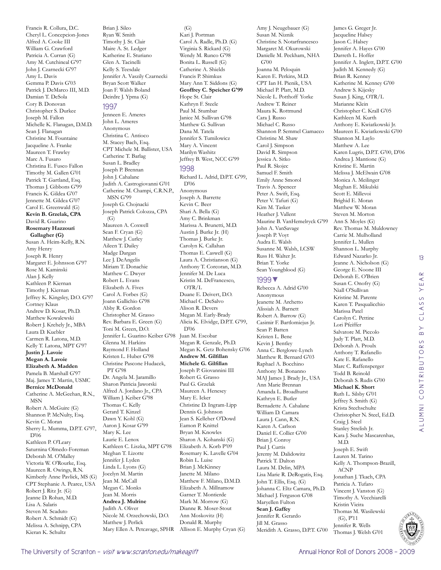Francis R. Collura, D.C. Cheryl L. Concepcion-Jones Alfred A. Cooke III William G. Crawford Patricia A. Curran (G) Amy M. Cutchineal G'97 John J. Czarnecki G'97 Amy L. Davis Gemma P. Davis G'03 Patrick J. DeMarco III, M.D. Damian T. DeSola Cory B. Donovan Christopher S. Durkee Joseph M. Fallon Michelle K. Flanagan, D.M.D. Sean J. Flanagan Christine M. Fountaine Jacqueline A. Franke Maureen T. Frawley Marc A. Fusaro Christina E. Fusco Fallon Timothy M. Gallen G'01 Patrick T. Gartland, Esq. Thomas J. Gibbons G'99 Francis K. Gildea G'07 Jennette M. Gildea G'07 Carol E. Greenwald (G) **Kevin B. Grzelak, CPA**  David R. Guarino **Rosemary Hazzouri Gallagher (G)** Susan A. Heim-Kelly, R.N. Amy Henry Joseph R. Henry Margaret E. Johnsson G'97 Rose M. Kaminski Alan J. Kelly Kathleen P. Kiernan Timothy J. Kiernan Jeffrey K. Kingsley, D.O. G'97 Cortney Klaus Andrew D. Kosar, Ph.D. Matthew Kowalewski Robert J. Krehely Jr., MBA Laura D. Kuebler Carmen R. Latona, M.D. Kelly T. Latona, MPT G'97 **Justin J. Lavoie Megan A. Lavoie Elizabeth A. Madden**  Pamela B. Marshall G'97 Maj. James T. Martin, USMC **Bernice McDonald**  Catherine A. McGeehan, R.N., MSN Robert A. McGuire (G) Shannon P. McNulty, Esq. Kevin C. Moran Sherry L. Mumma, D.P.T. G'97, D'06 Kathleen P. O'Leary Saturnina Olmedo-Foreman Deborah M. O'Malley Victoria W. O'Rourke, Esq. Maureen R. Owings, R.N. Kimberly Anne Pavlick, MS (G) CPT Stephanie A. Pearce, USA Robert J. Ritz Jr. (G) Jeanne D. Rohan, M.D. Lisa A. Salaris Steven M. Scaduto Robert A. Schmidt (G) Melissa A. Schnipp, CPA Kieran K. Schultz

Brian J. Sileo Ryan W. Smith Timothy J. St. Clair Maire A. St. Ledger Katherine E. Sturiano Glen A. Tacinelli Kelly S. Teesdale Jennifer A. Vaszily Czarnecki Bryan Scott Walker Joan F. Walsh Boland Deirdre J. Ypma (G)

#### 1997

Jenneen E. Ameres John L. Ameres Anonymous Christina C. Antioco M. Stacey Bach, Esq. CPT Michele M. Ballister, USA Catherine T. Barlag Susan L. Bradley Joseph P. Brennan John J. Cahalane Judith A. Castrogiovanni G'01 Catherine M. Champi, C.R.N.P., MSN G'99 Joseph G. Chojnacki Joseph Patrick Colozza, CPA (G) Maureen A. Coxwell Sean F. Cryan (G) Matthew J. Curley Aileen T. Dailey Madge Dargan Lee J. DeAngelis Miriam T. Donachie Matthew C. Dwyer Robert L. Evans Elizabeth A. Fives Carol A. Forbes (G) Joann Gallichio G'98 Abby R. Gordon Christopher M. Grasso Rev. Barbara E. Green (G) Toni M. Green, D.O. Jennifer L. Guarino Keiber G'98 Glenna M. Harkins Raymond F. Holland Kristen L. Huber G'98 Christine Pascone Hudacek, PT G'98 Dr. Angela M. Jaramillo Sharon Patricia Jaworski Alfred A. Jordano Jr., CPA William J. Keiber G'98 Thomas C. Kelly Gerard T. Kinzel Dawn Y. Kohl (G) Aaron J. Kosar G'99 Mary K. Lee Laurie E. Lenox Kathleen C. Liszka, MPT G'98 Meghan T. Lizotte Jennifer J. Lyden Linda L. Lyons (G) Jocelyn M. Martin Jean M. McCall Megan C. Monks Jean M. Morris **Andrea J. Mulrine**  Judith A. Oliver Nicole M. Orzechowski, D.O. Matthew J. Perlick Mary Ellen A. Petcavage, SPHR Allison E. Murphy Cryan (G)

(G) Kari J. Portman Carol A. Radle, Ph.D. (G) Virginia S. Rickard (G) Wendy M. Runco G'98 Bonita L. Russell (G) Catherine A. Shields Francis P. Shimkus Mary Ann T. Siddons (G) **Geoffrey C. Speicher G'99** Hope St. Clair Kathryn F. Steele Paul M. Stumbar Janice M. Sullivan G'98 Matthew G. Sullivan Dana M. Tatela Jennifer S. Tumilowicz Mary A. Vincent Marilyn Washitz Jeffrey B. West, NCC G'99 1998 Richard L. Adrid, D.P.T. G'99, D'06 Anonymous Joseph A. Barrette Kevin C. Beer Shari A. Bella (G) Amy C. Brinkman Marissa A. Brunetti, M.D. Austin J. Burke Jr. (H) Thomas J. Burke Jr. Carolyn K. Callahan Thomas E. Caswell (G) Laura A. Christianson (G) Anthony T. Corcoran, M.D. Jennifer M. De Luca Kristin M. DeFrancesco, OTR/L Duane E. Deivert, D.O. Michael C. DeSalvo Alison R. Devers Megan M. Early-Brady Alicia K. Elvidge, D.P.T. G'99, D'06 Juan M. Escobar Megan R. Genzale, Ph.D. Megan K. Getz Bohensky G'06 **Andrew M. Gilfillan Michele G. Gilfillan**  Joseph P. Giovannini III Robert G. Grasso Paul G. Grzelak

Maureen A. Henesey Mary E. Icker Christine D. Ingram-Lipp Dennis G. Johnson Jean S. Kelleher O'Dowd Eamon P. Knittel Bryan M. Knowles Sharon A. Kohanski (G) Elizabeth A. Korb P'09 Rosemary K. Lavelle G'04 Robin L. Luise Brian J. McKinney Janette M. Milano Matthew F. Milano, D.M.D. Elizabeth A. Millnamow Garner T. Montierde Mark M. Morrow (G) Dianne R. Moser-Stout Ann Moskovitz (H) Donald R. Murphy

Amy J. Neugebauer (G) Susan M. Niznik Christine S. Notarfrancesco Margaret M. Okurowski Danielle M. Peckham, NHA G'00 Joanna M. Peloquin Karen E. Perkins, M.D. CPT Ian H. Pienik, USA Michael P. Platt, M.D. Nicole L. Potthoff Yorke Andrew T. Reiner Maura K. Rottmund Cara J. Russo Michael C. Russo Shannon P. Semmel Ciamacco Christine M. Shaw Carol J. Simpson David R. Simpson Jessica A. Sitko Paul R. Skojec Samuel F. Smith Emily Anne Smorol Travis A. Spencer Peter A. Swift, Esq. Peter V. Tafuri (G) Kim M. Tasker Heather J. Vallent Maurine B. VanHemelryck G'99 John A. VanSavage Joseph P. Voyt Audra E. Walsh Susanne M. Walsh, LCSW Russ H. Walter Jr. Brian T. Yorke Sean Youngblood (G)

#### 1999▼

Rebecca A. Adrid G'00 Anonymous Jeanette M. Archetto Alissiah A. Barnett Robert A. Barrow (G) Casimir F. Bartlomiejus Jr. Sean P. Batten Kristen L. Bene Kevin J. Bentley Anna C. Berglowe-Lynch Matthew R. Bernard G'03 Raphael A. Bocchino Anthony M. Bonanno MAJ James J. Brady Jr., USA Ann Marie Brennan Amanda L. Broadhurst Kathryn E. Butler Bernadette A. Cahalane William D. Camara Laura J. Cann, R.N. Karen A. Carlson Daniel E. Collier G'00 Brian J. Conroy Paul J. Curtis Jeremy M. Dalidowitz Patrick T. Dalton Laura M. Delin, MPA Lisa Marie R. DeRogatis, Esq. John T. Ellis, Esq. (G) Johanna C. Eltz Camara, Ph.D. Michael J. Ferguson G'08 Maryellen Fulton **Sean J. Gaffey**  Jennifer R. Gerardo Jill M. Grasso Meridith A. Grasso, D.P.T. G'00 James G. Greger Jr. Jacqueline Halsey Jason C. Halsey Jennifer A. Hayes G'00 Darreth L. Hoffer Jennifer A. Inglett, D.P.T. G'00 Judith M. Kennedy (G) Brian R. Kenney Katherine M. Kenney G'00 Andrew S. Kijesky Susan J. King, OTR/L Marianne Klein Christopher C. Krall G'05 Kathleen M. Kurth Anthony E. Kwiatkowski Jr. Maureen E. Kwiatkowski G'00 Shannon M. Laylo Matthew A. Lee Karen Lugris, D.P.T. G'00, D'06 Andrea J. Mantione (G) Kristine E. Martin Melissa J. McElwain G'08 Monica A. Meilinger Meghan E. Mikulski Scott E. Millevoi Brighid E. Moran Matthew W. Moran Steven M. Morton Ann S. Moyles (G) Rev. Thomas M. Muldowney Carrie M. Mulholland Jennifer L. Mullen Shannon L. Murphy Edward Nazarko Jr. Jeanne A. Nicholson (G) George E. Noone III Deborah E. O'Brien Susan C. Onofry (G) Niall O'Sullivan Kristine M. Parente Karen T. Pasqualicchio Marissa Patel Carolyn C. Pettine Lori Pfeiffer Salvatore M. Piccolo Judy T. Platt, M.D. Deborah A. Proulx Anthony T. Rafanello Kate E. Rafanello Marc C. Raffensperger Todd B. Reinold Deborah S. Rudis G'00 **Michael K. Short**  Ruth L. Silsby G'01 Jeffrey S. Smith (G) Krista Stechschulte Christopher N. Steel, Ed.D. Craig J. Steel Stanley Strelish Jr. Kara J. Suche Mascarenhas, M.D. Joseph E. Swift Lauren M. Tarino Kelly A. Thompson-Brazill, ACNP Jonathan J. Tkach, CPA Patricia A. Tufaro Vincent J. Vanston (G) Timothy A. Vecchiarelli Kristin Vieira Thomas M. Wasilewski (G), P'11

13

 $\alpha$ YEAF

CLASS

 $\overline{B}$ 

alumni contributors by class year

ALUMNI CONTRIBUTORS



Jennifer R. Wells Thomas J. Welsh G'01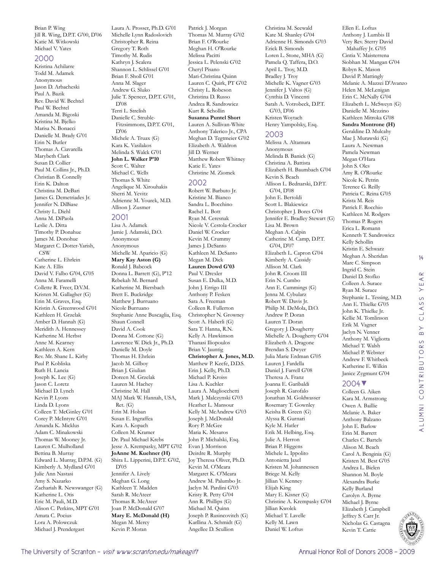Brian P. Wing Jill R. Wing, D.P.T. G'00, D'06 Katie M. Witkowski Michael V. Yates

#### 2000

Kristina Achilarre Todd M. Adamek Anonymous Jason D. Arbacheski Paul A. Bazik Rev. David W. Bechtel Paul W. Bechtel Amanda M. Bigoski Kristina M. Bjelko Marisa N. Bonacci Danielle M. Brady G'01 Erin N. Butler Thomas A. Ciavarella Marybeth Clark Susan D. Collier Paul M. Collins Jr., Ph.D. Christian B. Connelly Erin K. Dalton Christina M. DeBari James G. Demetriades Jr. Jennifer N. DiBiase Christy L. Diehl Anna M. DiPaola Leslie A. Ditta Timothy P. Donahue James M. Donohue Margaret C. Dotter-Yarish, **CSW** Catherine L. Ehrlein Kate A. Ellis David V. Falbo G'04, G'05 Anna M. Faramelli Collette R. Freer, D.V.M. Kristen M. Gallagher (G) Erin M. Graves, Esq. Kristin A. Greenwood G'01 Kathleen H. Grzelak Amber D. Hannah (G) Meridith A. Hennessey Katherine M. Herbst Anne M. Kearney Kathleen A. Kern Rev. Mr. Shane L. Kirby Paul P. Kobliska Ruth H. Lancia Joseph K. Lee (G) Jason C. Loretz Michael D. Lynch Kevin P. Lyons Linda D. Lyons Colleen T. McGinley G'01 Corey P. McIntyre G'01 Amanda K. Micklus Adam C. Minakowski Thomas W. Mooney Jr. Lauren C. Mulholland Bettina B. Murray Edward L. Murray, D.P.M. (G) Kimberly A. Mydland G'01 Julie Ann Nastasi Amy S. Nazarko Zachariah R. Newswanger (G) Katherine L. Otis Eric M. Pauli, M.D. Alison C. Perkins, MPT G'01 Amata C. Pocius Lora A. Polowczuk Michael J. Prendergast

Laura A. Prosser, Ph.D. G'01 Michelle Lynn Radoslovich Christopher R. Reina Gregory T. Roth Timothy M. Rudis Kathryn J. Scalera Shannon L. Schlissel G'01 Brian F. Sholl G'01 Anna M. Slager Andrew G. Sluko Julie T. Spencer, D.P.T. G'01, D'08 Terri L. Strelish Danielle C. Struble-Fitzsimmons, D.P.T. G'01, D'06 Michele A. Truax (G) Kara K. Vasilakos Melinda S. Walck G'01 **John L. Walker P'10** Scott C. Walter Michael C. Wells Thomas S. White Angelique M. Xirouhakis Sherri M. Yevitz Adrienne M. Yourek, M.D. Allison J. Zusmer

#### 2001

Lisa A. Adamek Jamie J. Adamski, D.O. Anonymous Anonymous Michelle M. Aparicio (G) **Mary Kay Aston (G)** Ronald J. Babcock Donna L. Barrett (G), P'12 Rebekah M. Bernard Katherine M. Biersbach Brett E. Buckridge Matthew J. Burruano Nicole Burruano Stephanie Anne Buscaglia, Esq. Shaun Connell David A. Cook Donna M. Cottone (G) Lawrence W. Dick Jr., Ph.D. Danielle M. Doyle Thomas H. Ehrlein Jacob M. Gilboy Brian J. Giulian Doreen M. Grzelak Lauren M. Hachey Christine M. Hall MAJ Mark W. Hannah, USA, Ret. (G) Erin M. Hoban Susan E. Ingraffea Kara A. Kopach Colleen M. Kramer Dr. Paul Michael Krebs Jesse A. Krempasky, MPT G'02 **JoAnne M. Kuehner (H)** Shira L. Lipperini, D.P.T. G'02, D'05 Jennifer A. Lively Meghan G. Long Kathleen T. Madden Sarah R. McAteer Thomas R. McAteer Joan P. McDonald G'07 **Mary E. McDonald (H)** Megan M. Mercy

Kevin P. Moran

Patrick J. Morgan Thomas M. Murray G'02 Brian F. O'Rourke Meghan H. O'Rourke Melissa Pacitti Jessica L. Pelenski G'02 Cheryl Pisano Mari-Christina Quinn Lauren C. Quirk, PT G'02 Christy L. Robeson Christina D. Russo Andrea R. Sandrowicz Kurt R. Schollin **Susanna Puntel Short**  Lauren A. Sullivan-White Anthony Talerico Jr., CPA Meghan D. Tegtmeier G'02 Elizabeth A. Waldron Jill D. Werner Matthew Robert Whitney Katie E. Yates Christine M. Ziomek

2002 Robert W. Barbuto Jr. Kristine M. Bianco Sandra L. Bocchino Rachel L. Bott Ryan M. Ceresnak Nicole V. Cestola-Crocker Daniel W. Crocker Kevin M. Crummy James J. DeSanto Kathleen M. DeSanto Megan M. Dick **Lauren Dowd G'03** Paul V. Drexler Susan E. Dulka, M.D. John J. Errigo III Anthony P. Fesken Sara A. Freeman Colleen R. Fullerton Christopher N. Growney Scott A. Haberli (G) Sara T. Hanna, R.N. Kelly A. Hawkinson Thanasi Iliopoulos Brian V. Jauntig **Christopher A. Jones, M.D.**  Matthew P. Keefe, D.D.S. Erin J. Kelly, Ph.D. Michael P. Kroiss Lisa A. Kuchler Laura A. Magliocchetti Mark J. Malczynski G'03 Heather L. Mansour Kelly M. McAndrew G'03 Joseph J. McDonald Rory P. McGee Maria K. Mesaros John P. Michalski, Esq. Evan J. Morrison Deirdre R. Murphy Joy Theresa Oliver, Ph.D. Kevin M. O'Meara Margaret K. O'Meara Andrew M. Palumbo Jr. Jaclyn M. Pardini G'03 Kristy R. Petty G'04 Ann R. Phillips (G) Michael M. Quinn Joseph P. Rusincovitch (G) Karllina A. Schmidt (G) Angellee D. Scullion

Christina M. Seewald Kate M. Shanley G'04 Adrienne H. Simonds G'03 Erick B. Simonds Loren L. Stone, MHA (G) Pamela Q. Taffera, D.O. April L. Troy, M.D. Bradley J. Troy Michelle K. Vagner G'03 Jennifer J. Valtos (G) Cynthia D. Vincenti Sarah A. Votrobeck, D.P.T. G'03, D'06 Kristen Woytach Henry Yampolsky, Esq.

#### 2003

Melissa A. Altamura Anonymous Melinda B. Banick (G) Christina A. Battista Elizabeth H. Baumbach G'04 Kevin S. Beach Allison L. Bednarski, D.P.T. G'04, D'08 John E. Bertoldi Scott L. Blakiewicz Christopher J. Bores G'04 Jennifer E. Bradley Stewart (G) Lisa M. Brown Meghan A. Calpin Catherine M. Camp, D.P.T. G'04, D'07 Elizabeth L. Capron G'04 Kimberly A. Cassidy Allison M. Clark John R. Croom III Erin N. Cumbo Ann E. Cummings (G) Jenna M. Cybularz Robert W. Davis Jr. Philip M. DeMola, D.O. Andrew P. Doran Lauren T. Doran Gregory J. Dougherty Michelle A. Dougherty G'04 Elizabeth A. Dragone Brendan S. Dwyer Julia Marie Erdman G'05 Lauren J. Fardella Daniel J. Farrell G'08 Theresa A. Franz Joanna E. Garibaldi Joseph R. Garofalo Jonathan M. Goldwasser Rosemary T. Gownley Keisha B. Green (G) Alyssa R. Gurnari Kyle M. Hatler Erik M. Helbing, Esq. Julie A. Herron Brian P. Higgens Michele L. Ippolito Antonietta Jaxel Kristen M. Johannessen Briege M. Kelly Jillian V. Kenney Elijah King Mary E. Kisner (G) Christine A. Krempasky G'04 Jillian Kwolek Michael T. Lavelle Kelly M. Lawn Daniel W. Loftus

Ellen E. Loftus Anthony J. Lumbis II Very Rev. Sterry David Mahaffey Jr. G'05 Cintia V. Maisterrena Siobhan M. Mangan G'04 Robyn K. Mason David P. Mattingly Melanie A. Mazzei D'Avanzo Helen M. McLenigan Erin C. McNally G'04 Elizabeth L. McSweyn (G) Danielle M. Mezzino Kathleen Mitroka G'08 **Sandra Montrone (H)** Geraldine D. Mulcahy Mae J. Murawski (G) Laura A. Newman Pamela Newman Megan O'Hara John S. Oles Amy R. O'Rourke Nicole K. Petrin Terence G. Reilly Patricia C. Reina G'05 Krista M. Reis Patrick F. Rocchio Kathleen M. Rodgers Thomas P. Rogers Erica L. Romann Kenneth T. Sandrowicz Kelly Schollin Kristin E. Schwarz Meghan A. Sheridan Marc C. Simpson Ingrid C. Stein Daniel D. Stofko Colleen A. Surace Ryan M. Surace Stephanie L. Tessing, M.D. Ann E. Thielke G'05 John K. Thielke Jr. Kellie M. Tomlinson Erik M. Vagner Jaclyn N. Venner Anthony M. Vigliotta Michael T. Walsh Michael P. Webster Andrew F. Whitbeck Katherine E. Wilkin Janice Zygmunt G'04

14

 $\alpha$  $\prec$ YE,

CLASS

 $\overline{B}$ 

alumni contributors by class year

ALUMNI CONTRIBUTORS

## 2004▼

Colleen G. Aiken Kara M. Armstrong Owen A. Baillie Melanie A. Baker Anthony Balzano John E. Barlow Erin M. Barrett Charles C. Bartels Alison M. Beach Carol A. Benginia (G) Kristen M. Best G'05 Andrea L. Bielen Shannon M. Boyle Alexandra Burke Kelly Burland Carolyn A. Byrne Michael J. Byrne Elizabeth J. Campbell Jeffrey S. Carr Jr. Nicholas G. Castagna Kevin T. Cattie

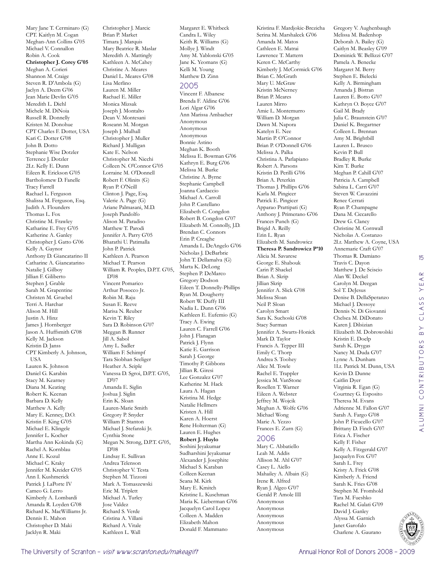Mary Jane T. Cerminaro (G) CPT. Kaitlyn M. Cogan Meghan-Ann Collins G'05 Michael V. Connallon Robin A. Cook **Christopher J. Corey G'05** Meghan A. Corieri Shannon M. Craige Steven R. D'Ambola (G) Jaclyn A. Deem G'06 Jean Marie Devlin G'05 Meredith L. Diehl Michele M. DiNoia Russell R. Donnelly Kristen M. Donohue CPT Charles F. Dotter, USA Kari C. Dotter G'08 John B. Dotto Stephanie Wise Dotzler Terrence J. Dotzler 2Lt. Kelly E. Dunn Eileen R. Erickson G'05 Bartholomew D. Fanelle Tracy Farrell Rachael L. Ferguson Shalissa M. Ferguson, Esq. Judith A. Flounders Thomas L. Fox Christine M. Frawley Katharine E. Frey G'05 Katherine A. Ganley Christopher J. Gatto G'06 Kelly A. Gaynor Anthony D. Giancatarino II Catharine A. Giancatarino Natalie J. Gilboy Jillian F. Giliberto Stephen J. Grable Sarah M. Grapentine Christen M. Gruebel Terri A. Harchar Alison M. Hill Justin A. Hinz James J. Hornberger Jason A. Huffsmith G'08 Kelly M. Jackson Kristin D. Janss CPT Kimberly A. Johnson, **TISA** Lauren K. Johnson Daniel G. Karabin Stacy M. Kearney Diana M. Keating Robert K. Keenan Barbara D. Kelly Matthew A. Kelly Mary E. Kenney, D.O. Kristin F. King G'05 Michael E. Klingele Jennifer L. Kocher Martha Ann Kokinda (G) Rachel A. Kornblau Anne E. Kozul Michael C. Kraky Jennifer M. Kreider G'05 Ann I. Kushmerick Patrick J. LaPorte IV Cameo G. Lerro Kimberly A. Lombardi Amanda R. Loyden G'08 Richard K. MacWilliams Jr. Dennis E. Mahon Christopher D. Maki Jacklyn R. Maki

Christopher J. Marcic Brian P. Market Timara J. Marquis Mary Beatrice R. Maslar Meredith A. Mattingly Kathleen A. McCahey Christine A. Meares Daniel L. Meares G'08 Lisa Merlino Lauren M. Miller Rachael E. Miller Monica Mizsak Joseph J. Montalto Dean V. Montesani Roseann M. Morgan Joseph J. Mulhall Christopher J. Muller Richard J. Mulligan Kate E. Nelson Christopher M. Nicchi Colleen N. O'Connor G'05 Lorraine M. O'Donnell Robert F. Olinits (G) Ryan P. O'Neill Clinton J. Page, Esq. Valerie A. Page (G) Ariane Palmasani, M.D. Joseph Pandolfo Alison M. Paradiso Matthew T. Parodi Jennifer A. Parry G'05 Bharathi U. Patimalla John P. Patrick Kathleen A. Pearson Michael T. Pearson William R. Peoples, D.P.T. G'05, D'08 Vincent Pomarico Arthur Posocco Jr. Robin M. Raju Susan E. Reeve Marisa N. Reuber Kevin T. Riley Sara D. Robinson G'07 Meggan B. Runner Jill A. Sabol Amy L. Sadler William F. Schimpf Tara Siobhan Seeliger Heather A. Seiple Vanessa D. Sgroi, D.P.T. G'05, D'07 Amanda E. Siglin Joshua J. Siglin Erin K. Sloan Lauren-Marie Smith Gregory P. Snyder William P. Stanton Michael J. Stefanski Jr. Cynthia Stone Megan N. Strong, D.P.T. G'05, D'08 Lindsay E. Sullivan Andrea Telenson Christopher V. Testa Stephen M. Tizzoni Mark A. Tomaszewski Eric M. Triplett Michael A. Turley Jose Valdez Richard S. Verde Cristina A. Villani Richard A. Vitale Kathleen L. Wall

Margaret E. Whitbeck Candra L. Wiley Keith R. Williams (G) Mollye J. Windt Amy M. Yablonski G'05 Jane K. Yeomans (G) Kelli M. Young Matthew D. Zinn

#### 2005

Vincent F. Albanese Brenda F. Aldine G'06 Lori Algar G'06 Ann Marissa Ambacher Anonymous Anonymous Anonymous Bonnie Astino Meghan K. Booth Melissa E. Bowman G'06 Kathryn E. Burg G'06 Melissa M. Burke Christine A. Byrne Stephanie Campbell Joanna Cardaccio Michael A. Carroll John P. Castellano Elizabeth C. Congdon Robert B. Congdon G'07 Elizabeth M. Connolly, J.D. Brendan C. Connors Erin P. Creaghe Amanda L. DeAngelo G'06 Nicholas J. DeBarbrie John T. Dellamalva (G) Marta K. DeLong Stephen P. DeMarco Gregory Dodson Eileen T. Donnelly-Phillips Ryan M. Dougherty Robert W. Duffy III Nadia L. Dunn G'06 Kathleen E. Eufemio (G) Tracy A. Ewing Lauren C. Farrell G'06 John J. Flanagan Patrick J. Flynn Katie E. Garrison Sarah J. George Timothy P. Gibbons Jillian R. Giresi Lee Gonzalez G'07 Katherine M. Hack Laura A. Hagan Kristina M. Hedge Natalie Hellmers Kristen A. Hill Karen A. Hoerst Rene Holterman (G) Lauren E. Hughes **Robert J. Huylo**  Soshini Jeyakumar Sudharshini Jeyakumar Alexander J. Josephite Michael S. Karaban Colleen Keenan Seana M. Kirk Mary E. Kmitch Kristine L. Kuschman Maria K. Lieberman G'06 Jacquelyn Carol Lopez Colleen A. Madden Elizabeth Mahon Donald F. Mammano

Kristina F. Mardjokic-Brezicha Serina M. Marshaleck G'06 Amanda M. Matos Cathleen E. Matrai Lawrence T. Mattern Keren C. McCarthy Kimberly J. McCormick G'06 Brian C. McGrath Mary U. McGraw Kristin McNerney Brian P. Meares Lauren Mirro Amie L. Montemurro William D. Morgan Dawn M. Napora Katelyn E. Nee Martin P. O'Connor Brian P. O'Donnell G'06 Melissa A. Palka Christina A. Parlapiano Robert A. Parsons Kristin D. Perilli G'06 Brian A. Peterkin Thomas J. Phillips G'06 Karla M. Pingicer Patrick E. Pingicer Apparao Prattipati (G) Anthony J. Primerano G'06 Frances Punch (G) Brigid A. Reilly Erin L. Ryan Elizabeth M. Sandrowicz **Theresa P. Sandrowicz P'10** Alicia M. Savarese George E. Shabouk Carin P. Shackel Brian A. Skrip Jillian Skrip Jennifer A. Slick G'08 Melissa Sloan Neil P. Sloan Carolyn Smart Sara K. Suchoski G'08 Stacy Surman Jennifer A. Swarts-Honick Mark D. Taylor Francis A. Tepper III Emily C. Thorp Andrea S. Toohey Alice M. Towle Rachel E. Trappler Jessica M. VanStone Rosellen T. Warner Eileen A. Webster Jeffrey M. Wojcik Meghan A. Wolfe G'06 Michael Wong Marie A. Yezzo Frances E. Zurn (G) 2006 Mary C. Abbatiello Leah M. Addis Allison M. Ahl G'07

Casey L. Aiello Mahailey A. Albain (G) Irene R. Alfred Ryan J. Algeo G'07 Gerald P. Amole III Anonymous Anonymous Anonymous Anonymous Anonymous

Gregory V. Aughenbaugh Melissa M. Badenhop Deborah A. Bailey (G) Caitlyn M. Beasley G'09 Dominick W. Bellizzi G'07 Pamela A. Benecke Margaret M. Berry Stephen E. Bielecki Kelly A. Birmingham Amanda J. Bistran Lauren E. Botto G'07 Kathryn O. Boyce G'07 Gail M. Brady Julia C. Braunstein G'07 Daniel K. Bregartner Colleen L. Brennan Amy M. Brightbill Lauren L. Brusco Kevin P. Bull Bradley R. Burke Kim T. Burke Meghan P. Cahill G'07 Patricia A. Campbell Sabina L. Carri G'07 Steven W. Cavazzini Renee Cerrati Ryan P. Champagne Dana M. Ciccarello Drew G. Clancy Christine M. Cornwall Nicholas A. Costanzo 2Lt. Matthew A. Coyne, USA Annemarie Craft G'07 Thomas R. Damiano Travis C. Dayon Matthew J. De Sciscio Alan W. Deckel Carolyn M. Deegan Sol T. DeJesus Denise B. DellaSperanzo Michael J. Dessoye Dennis N. Di Giovanni Chelsea M. DiDonato Karen J. Dilsizian Elizabeth M. Dobrowolski Kristin E. Doelp Sarah K. Drygas Nancy M. Duda G'07 Lynne A. Dunham 1Lt. Patrick M. Dunn, USA Kevin D. Dunne Caitlin Dyer Virginia R. Egan (G) Courtney G. Esposito Theresa M. Evans Adrienne M. Fallon G'07 Sarah A. Fargo G'08 John P. Ficucello G'07 Brittany D. Finch G'07 Erica A. Fischer Kelly F. Fisher Kelly A. Fitzgerald G'07 Jacquelyn Fox G'07 Sarah L. Frey Kristy A. Frick G'08 Kimberly A. Friend Sarah K. Fries G'08 Stephen M. Fromhold Tara M. Fueshko Rachel M. Galati G'09 David J. Ganley Alyssa M. Garnich Janet Garofalo



Charlene A. Gaurano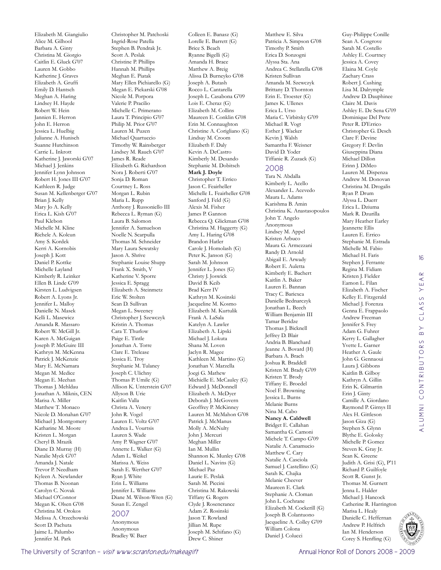Elizabeth M. Giangiulio Alice M. Gilhool Barbara A. Ginty Christina M. Giorgio Caitlin E. Gluck G'07 Lauren M. Gobbo Katherine J. Graves Elizabeth A. Gruffi Emily D. Hantsch Meghan A. Haring Lindsey H. Hayde Robert W. Hein Jannien E. Herron John E. Herron Jessica L. Huelbig Julianne A. Hunisch Suanne Hutchinson Carrie L. Inkrott Katherine J. Jaworski G'07 Michael J. Jenkins Jennifer Lynn Johnson Robert H. Jones III G'07 Kathleen R. Judge Susan M. Kellenberger G'07 Brian J. Kelly Mary Jo A. Kelly Erica L. Kish G'07 Paul Klebon Michelle M. Kline Richele A. Kolcun Amy S. Kordek Kerri A. Kornobis Joseph J. Kott Daniel P. Kottke Michelle Layland Kimberly R. Leinker Ellen B. Linde G'09 Kirsten L. Ludvigsen Robert A. Lyons Jr. Jennifer L. Malloy Danielle N. Masek Kelli L. Masewicz Amanda R. Massaro Robert W. McGill Jr. Karen A. McGuigan Joseph P. McGuire III Kathryn M. McKenna Patrick J. McKenzie Mary E. McNamara Megan M. Medice Megan E. Meehan Thomas J. Mehldau Jonathan A. Miknis, CEN Marisa A. Miller Matthew T. Monaco Nicole D. Monahan G'07 Michael J. Montgomery Katharine M. Moore Kristen L. Morgan Cheryl B. Mrazik Diane D. Murray (H) Natalie Myck G'07 Amanda J. Natale Trevor P. Needham Kyleen A. Newlander Thomas B. Noonan Carolyn C. Novak Michael O'Connor Megan K. Olsen G'08 Christina M. Orokos Melissa A. Orzechowski Scott D. Pachuta Jaime L. Palumbo Jennifer M. Park

Christopher M. Patchoski Ingrid-Rose Patella Stephen B. Pendrak Jr. Scott A. Peslak Christine P. Phillips Hannah M. Phillips Meghan E. Piatak Mary Ellen Pichiarello (G) Megan E. Piekarski G'08 Nicole M. Porpora Valerie P. Pracilio Michelle C. Primerano Laura T. Principio G'07 Philip M. Prior G'07 Lauren M. Puzen Michael Quartuccio Timothy W. Rainsberger Lindsey M. Rauch G'07 James R. Reade Elizabeth G. Richardson Nora J. Roberti G'07 Sonja D. Roman Courtney L. Ross Morgan L. Rubin Maria L. Rupp Anthony J. Russoniello III Rebecca L. Ryman (G) Laura B. Salomon Jennifer A. Samuelson Noelle N. Scarpulla Thomas M. Schneider Mary Laura Sewatsky Jason A. Shrive Stephanie Louise Shupp Frank X. Smith, V Katherine V. Sporre Jessica E. Spragg Elizabeth A. Steinmetz Eric W. Stolten Sean D. Sullivan Megan L. Sweeney Christopher J. Szewczyk Kristin A. Thomas Cara T. Thurlow Paige E. Tintle Jonathan A. Torre Clare E. Trelease Jessica E. Troy Stephanie M. Tulaney Joseph C. Ulichny Thomas P. Umile (G) Allison K. Unterstein G'07 Allyson B. Urie Kaitlin Valla Christa A. Venery John R. Vogel Lauren E. Voltz G'07 Andrea L. Vourtsis Lauren S. Wade Amy P. Wagner G'07 Annette L. Walker (G) Adam L. Weikel Marissa A. Weiss Sarah E. Werther G'07 Ryan J. White Erin L. Williams Jennifer L. Williams Diane M. Wilson-Wren (G) Susan E. Zengel 2007 Anonymous

Colleen E. Banasz (G) Lorelle E. Barrett (G) Brice S. Beach Ryanne Bigelli (G) Amanda H. Brace Matthew A. Breig Alissa D. Burneyko G'08 Joseph A. Butash Rocco L. Cantarella Joseph L. Casabona G'09 Lois E. Cheraz (G) Elizabeth M. Collins Maureen E. Conklin G'08 Erin M. Connaughton Christine A. Corigliano (G) Lindsay M. Croom Elizabeth F. Daly Kevin A. DeCastro Kimberly M. Desando Stephanie M. Dobitsch **Mark J. Doyle**  Christopher T. Errico Jason C. Feairheller Michelle L. Feairheller G'08 Sanford J. Feld (G) Alexis M. Fisher James P. Gannon Rebecca Q. Glickman G'08 Christina M. Haggerty (G) Amy L. Haring G'08 Brandon Hatler Carole J. Homolash (G) Peter K. Janson (G) Sarah M. Johnson Jennifer L. Jones (G) Christy J. Joswick David B. Keib Brad Kerr IV Kathryn M. Kosinski Jacqueline M. Kosmo Elizabeth M. Kurtulik Frank A. LaSala Katelyn A. Lawler Elizabeth A. Lipski Michael J. Lokuta Shana M. Loven Jaclyn R. Magee Kathleen M. Martino (G) Jonathan V. Marzella Joegi G. Mathew Michielle E. McCauley (G) Edward J. McDonnell Elizabeth A. McDyer Deborah J. McGovern Geoffrey P. McKinney Lauren M. McMahon G'08 Patrick J. McManus Molly A. McNulty John J. Mercuri Meghan Miller Ian M. Mullin Shannon K. Munley G'08 Daniel L. Navins (G) Michael Paz Laurie E. Peslak Sarah M. Piccini Christina M. Rakowski Tiffany G. Rogers Clyde J. Rosencrance Adam Z. Rosinski Jason T. Rowland Jillian M. Rupe Joseph M. Schifano (G)

Drew C. Shiner

Matthew E. Silva Patricia A. Simpson G'08 Timothy P. Smith Erica D. Sonzogni Alyssa Sta. Ana Andrea C. Stellatella G'08 Kristen Sullivan Amanda M. Szewczyk Brittany D. Thornton Erin E. Troester (G) James K. Ullenes Erica L. Urso Maria C. Virbitsky G'09 Michael R. Vogt Esther J. Wacker Kevin J. Walsh Samantha F. Weisner David D. Yoder Tiffanie R. Zuzack (G) 2008 Tara N. Abdalla Kimberly L. Acello

Alexander L. Acevedo Maura L. Adams Karishma B. Amin Christina K. Anastasopoulos John T. Angelo Anonymous Lindsey M. Appel Kristen Arbuco Maura G. Armezzani Randy D. Arnold Abigail E. Arwady Robert E. Auletta Kimberly E. Bachert Kaitlin A. Baker Lauren E. Bannan Tracy C. Bariexca Danielle Bednarczyk Jonathan L. Beech William Benjamin III Tamar Beridze Thomas J. Bicknell Jeffrey D. Blair Andria B. Blanchard Jeanne A. Bovard (H) Barbara A. Brach Joshua R. Braddell Kristen M. Brady G'09 Kristen T. Brody Tiffany E. Broedel Noel F. Browning Jessica L. Burns Melanie Burns Nina M. Cabo **Nancy A. Caldwell**  Bridget E. Callahan Samantha G. Camoni Michele T. Campo G'09 Natalie A. Canamucio Matthew C. Cary Natalie A. Casciola Samuel J. Castellino (G) Sarah K. Chajka Melanie Cheever Maureen E. Clark Stephanie A. Cloman John L. Cochrane Elizabeth M. Cockerill (G) Joseph B. Colantuono Jacqueline A. Colley G'09 William Colona Daniel J. Colucci

Guy-Philippe Conille Sean A. Cosgrove Sarah M. Costello Ashley E. Courtney Jessica A. Covey Elaina M. Coyle Zachary Crass Robert J. Cushing Lisa M. Dalrymple Andrew D. Dauphinee Claire M. Davis Ashley E. De Sena G'09 Dominique Del Prete Peter R. D'Errico Christopher G. Desch Clare F. Devine Gregory F. Devlin Giuseppina Diana Michael Dillon Erinn J. DiMeo Lauren M. Dispenza Andrew M. Donovan Christina M. Drogalis Ryan P. Drum Alyssa L. Duerr Erica L. Dziuma Mark R. Dzurilla Mary Heather Earley Jeannette Ellis Lauren E. Errico Stephanie M. Estrada Michelle M. Fabio Michael H. Faris Stephen J. Ferrante Regina M. Fidiam Kristen J. Fielder Eamon L. Filan Elizabeth A. Fischer Kelley E. Fitzgerald Michael J. Forenza Genna E. Frappaolo Andrew Freeman Jennifer S. Frey Adam G. Fuhrer Kerry L. Gallagher Yvette L. Garner Heather A. Gaule John G. Gennaoui Laura J. Gibbons Kaitlin B. Gilboy Kathryn A. Gillin Erin K. Gilmartin Erin J. Ginty Camille A. Giordano Raymond P. Girnys II Alex H. Gittleson Jason Giza (G) Stephen S. Glynn Blythe E. Golosky Michelle P. Gomez Steven K. Gray Jr. Sean K. Greene Judith A. Grisi (G), P'11 Richard P. Guilfoyle Scott R. Gunst Jr. Thomas M. Gurnett Jenna L. Halder Michael J. Hancock Catherine R. Harrington Marisa L. Healy Danielle C. Heffernan Andrew P. Helfrich Ian M. Henderson Corey S. Henfling (G)



Anonymous Bradley W. Baer